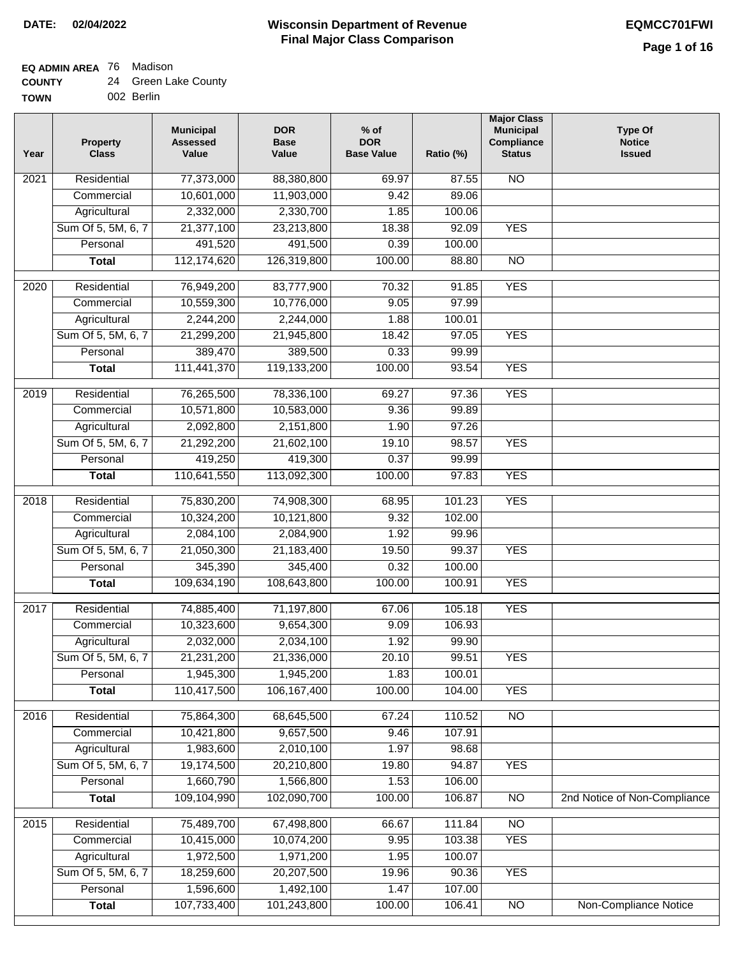**EQ ADMIN AREA** 76 Madison

| <b>COUNTY</b> | 24 Green Lake County |
|---------------|----------------------|
|               |                      |

**TOWN** 002 Berlin

| Year              | <b>Property</b><br><b>Class</b> | <b>Municipal</b><br><b>Assessed</b><br>Value | <b>DOR</b><br><b>Base</b><br>Value | % of<br><b>DOR</b><br><b>Base Value</b> | Ratio (%) | <b>Major Class</b><br><b>Municipal</b><br>Compliance<br><b>Status</b> | <b>Type Of</b><br><b>Notice</b><br><b>Issued</b> |
|-------------------|---------------------------------|----------------------------------------------|------------------------------------|-----------------------------------------|-----------|-----------------------------------------------------------------------|--------------------------------------------------|
| 2021              | Residential                     | 77,373,000                                   | 88,380,800                         | 69.97                                   | 87.55     | N <sub>O</sub>                                                        |                                                  |
|                   | Commercial                      | 10,601,000                                   | 11,903,000                         | 9.42                                    | 89.06     |                                                                       |                                                  |
|                   | Agricultural                    | 2,332,000                                    | 2,330,700                          | 1.85                                    | 100.06    |                                                                       |                                                  |
|                   | Sum Of 5, 5M, 6, 7              | 21,377,100                                   | 23,213,800                         | 18.38                                   | 92.09     | <b>YES</b>                                                            |                                                  |
|                   | Personal                        | 491,520                                      | 491,500                            | 0.39                                    | 100.00    |                                                                       |                                                  |
|                   | <b>Total</b>                    | 112,174,620                                  | 126,319,800                        | 100.00                                  | 88.80     | $\overline{NO}$                                                       |                                                  |
| $\overline{2020}$ | Residential                     | 76,949,200                                   | 83,777,900                         | 70.32                                   | 91.85     | <b>YES</b>                                                            |                                                  |
|                   | Commercial                      | 10,559,300                                   | 10,776,000                         | 9.05                                    | 97.99     |                                                                       |                                                  |
|                   | Agricultural                    | 2,244,200                                    | 2,244,000                          | 1.88                                    | 100.01    |                                                                       |                                                  |
|                   | Sum Of 5, 5M, 6, 7              | 21,299,200                                   | 21,945,800                         | 18.42                                   | 97.05     | <b>YES</b>                                                            |                                                  |
|                   | Personal                        | 389,470                                      | 389,500                            | 0.33                                    | 99.99     |                                                                       |                                                  |
|                   | <b>Total</b>                    | 111,441,370                                  | 119,133,200                        | 100.00                                  | 93.54     | <b>YES</b>                                                            |                                                  |
|                   |                                 |                                              |                                    |                                         |           |                                                                       |                                                  |
| $\frac{1}{2019}$  | Residential                     | 76,265,500                                   | 78,336,100                         | 69.27                                   | 97.36     | <b>YES</b>                                                            |                                                  |
|                   | Commercial                      | 10,571,800                                   | 10,583,000                         | 9.36                                    | 99.89     |                                                                       |                                                  |
|                   | Agricultural                    | 2,092,800                                    | 2,151,800                          | 1.90                                    | 97.26     |                                                                       |                                                  |
|                   | Sum Of 5, 5M, 6, 7              | 21,292,200                                   | 21,602,100                         | 19.10                                   | 98.57     | <b>YES</b>                                                            |                                                  |
|                   | Personal                        | 419,250                                      | 419,300                            | 0.37                                    | 99.99     |                                                                       |                                                  |
|                   | <b>Total</b>                    | 110,641,550                                  | 113,092,300                        | 100.00                                  | 97.83     | <b>YES</b>                                                            |                                                  |
| 2018              | Residential                     | 75,830,200                                   | 74,908,300                         | 68.95                                   | 101.23    | <b>YES</b>                                                            |                                                  |
|                   | Commercial                      | 10,324,200                                   | 10,121,800                         | 9.32                                    | 102.00    |                                                                       |                                                  |
|                   | Agricultural                    | 2,084,100                                    | 2,084,900                          | 1.92                                    | 99.96     |                                                                       |                                                  |
|                   | Sum Of 5, 5M, 6, 7              | 21,050,300                                   | 21,183,400                         | 19.50                                   | 99.37     | <b>YES</b>                                                            |                                                  |
|                   | Personal                        | 345,390                                      | 345,400                            | 0.32                                    | 100.00    |                                                                       |                                                  |
|                   | <b>Total</b>                    | 109,634,190                                  | 108,643,800                        | 100.00                                  | 100.91    | <b>YES</b>                                                            |                                                  |
| 2017              | Residential                     | 74,885,400                                   | 71,197,800                         | 67.06                                   | 105.18    | <b>YES</b>                                                            |                                                  |
|                   | Commercial                      | 10,323,600                                   | 9,654,300                          | 9.09                                    | 106.93    |                                                                       |                                                  |
|                   | Agricultural                    | 2,032,000                                    | 2,034,100                          | 1.92                                    | 99.90     |                                                                       |                                                  |
|                   | Sum Of 5, 5M, 6, 7              | 21,231,200                                   | 21,336,000                         | 20.10                                   | 99.51     | <b>YES</b>                                                            |                                                  |
|                   | Personal                        | 1,945,300                                    | 1,945,200                          | 1.83                                    | 100.01    |                                                                       |                                                  |
|                   | <b>Total</b>                    | 110,417,500                                  | 106, 167, 400                      | 100.00                                  | 104.00    | <b>YES</b>                                                            |                                                  |
| 2016              | Residential                     | 75,864,300                                   | 68,645,500                         | 67.24                                   | 110.52    | N <sub>O</sub>                                                        |                                                  |
|                   | Commercial                      | 10,421,800                                   | 9,657,500                          | 9.46                                    | 107.91    |                                                                       |                                                  |
|                   | Agricultural                    | 1,983,600                                    | 2,010,100                          | 1.97                                    | 98.68     |                                                                       |                                                  |
|                   | Sum Of 5, 5M, 6, 7              | 19,174,500                                   | 20,210,800                         | 19.80                                   | 94.87     | <b>YES</b>                                                            |                                                  |
|                   | Personal                        | 1,660,790                                    | 1,566,800                          | 1.53                                    | 106.00    |                                                                       |                                                  |
|                   | <b>Total</b>                    | 109,104,990                                  | 102,090,700                        | 100.00                                  | 106.87    | N <sub>O</sub>                                                        | 2nd Notice of Non-Compliance                     |
| 2015              | Residential                     | 75,489,700                                   | 67,498,800                         | 66.67                                   | 111.84    | $\overline{NO}$                                                       |                                                  |
|                   | Commercial                      | 10,415,000                                   | 10,074,200                         | 9.95                                    | 103.38    | <b>YES</b>                                                            |                                                  |
|                   | Agricultural                    | 1,972,500                                    | 1,971,200                          | 1.95                                    | 100.07    |                                                                       |                                                  |
|                   | Sum Of 5, 5M, 6, 7              | 18,259,600                                   | 20,207,500                         | 19.96                                   | 90.36     | <b>YES</b>                                                            |                                                  |
|                   | Personal                        | 1,596,600                                    | 1,492,100                          | 1.47                                    | 107.00    |                                                                       |                                                  |
|                   | <b>Total</b>                    | 107,733,400                                  | 101,243,800                        | 100.00                                  | 106.41    | <b>NO</b>                                                             | Non-Compliance Notice                            |
|                   |                                 |                                              |                                    |                                         |           |                                                                       |                                                  |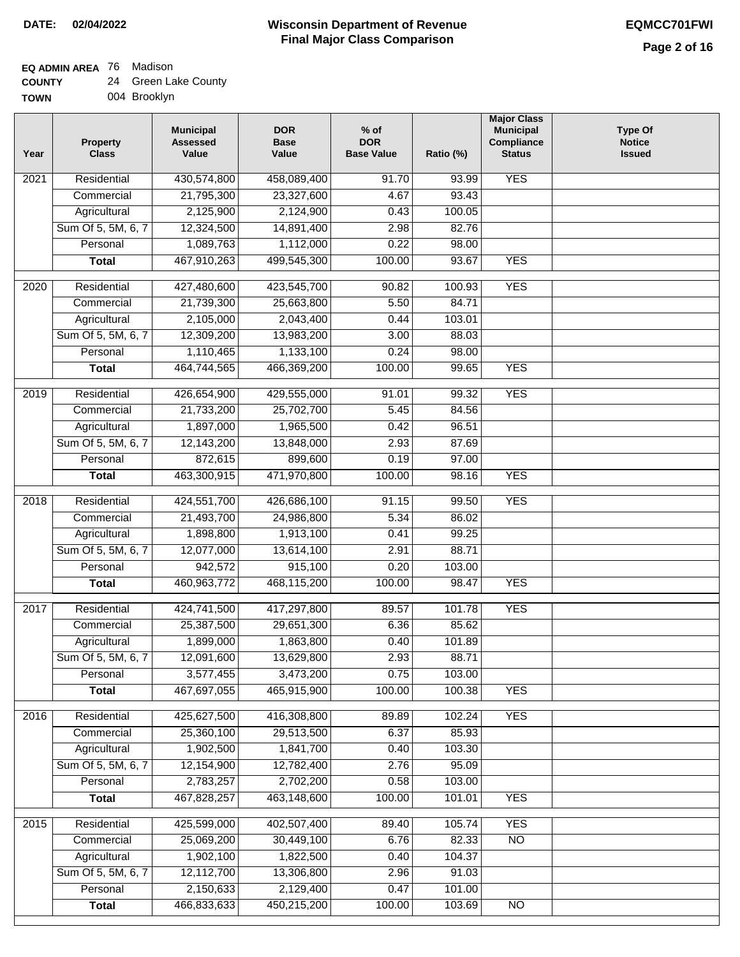# **EQ ADMIN AREA** 76 Madison

| <b>COUNTY</b> |  | 24 Green Lake County |
|---------------|--|----------------------|
|---------------|--|----------------------|

**TOWN** 004 Brooklyn

| Year              | <b>Property</b><br><b>Class</b> | <b>Municipal</b><br><b>Assessed</b><br>Value | <b>DOR</b><br><b>Base</b><br>Value | % of<br><b>DOR</b><br><b>Base Value</b> | Ratio (%) | <b>Major Class</b><br><b>Municipal</b><br>Compliance<br><b>Status</b> | <b>Type Of</b><br><b>Notice</b><br><b>Issued</b> |
|-------------------|---------------------------------|----------------------------------------------|------------------------------------|-----------------------------------------|-----------|-----------------------------------------------------------------------|--------------------------------------------------|
| 2021              | Residential                     | 430,574,800                                  | 458,089,400                        | 91.70                                   | 93.99     | <b>YES</b>                                                            |                                                  |
|                   | Commercial                      | 21,795,300                                   | 23,327,600                         | 4.67                                    | 93.43     |                                                                       |                                                  |
|                   | Agricultural                    | 2,125,900                                    | 2,124,900                          | 0.43                                    | 100.05    |                                                                       |                                                  |
|                   | Sum Of 5, 5M, 6, 7              | 12,324,500                                   | 14,891,400                         | 2.98                                    | 82.76     |                                                                       |                                                  |
|                   | Personal                        | 1,089,763                                    | 1,112,000                          | 0.22                                    | 98.00     |                                                                       |                                                  |
|                   | <b>Total</b>                    | 467,910,263                                  | 499,545,300                        | 100.00                                  | 93.67     | <b>YES</b>                                                            |                                                  |
| 2020              | Residential                     | 427,480,600                                  | 423,545,700                        | 90.82                                   | 100.93    | <b>YES</b>                                                            |                                                  |
|                   | Commercial                      | 21,739,300                                   | 25,663,800                         | 5.50                                    | 84.71     |                                                                       |                                                  |
|                   | Agricultural                    | 2,105,000                                    | 2,043,400                          | 0.44                                    | 103.01    |                                                                       |                                                  |
|                   | Sum Of 5, 5M, 6, 7              | 12,309,200                                   | 13,983,200                         | 3.00                                    | 88.03     |                                                                       |                                                  |
|                   | Personal                        | 1,110,465                                    | 1,133,100                          | 0.24                                    | 98.00     |                                                                       |                                                  |
|                   | <b>Total</b>                    | 464,744,565                                  | 466,369,200                        | 100.00                                  | 99.65     | <b>YES</b>                                                            |                                                  |
| 2019              | Residential                     | 426,654,900                                  | 429,555,000                        | 91.01                                   | 99.32     | <b>YES</b>                                                            |                                                  |
|                   | Commercial                      | 21,733,200                                   | 25,702,700                         | 5.45                                    | 84.56     |                                                                       |                                                  |
|                   | Agricultural                    | 1,897,000                                    | 1,965,500                          | 0.42                                    | 96.51     |                                                                       |                                                  |
|                   | Sum Of 5, 5M, 6, 7              | 12,143,200                                   | 13,848,000                         | 2.93                                    | 87.69     |                                                                       |                                                  |
|                   | Personal                        | 872,615                                      | 899,600                            | 0.19                                    | 97.00     |                                                                       |                                                  |
|                   | <b>Total</b>                    | 463,300,915                                  | 471,970,800                        | 100.00                                  | 98.16     | <b>YES</b>                                                            |                                                  |
| 2018              | Residential                     | 424,551,700                                  | 426,686,100                        | 91.15                                   | 99.50     | <b>YES</b>                                                            |                                                  |
|                   | Commercial                      | 21,493,700                                   | 24,986,800                         | 5.34                                    | 86.02     |                                                                       |                                                  |
|                   | Agricultural                    | 1,898,800                                    | 1,913,100                          | 0.41                                    | 99.25     |                                                                       |                                                  |
|                   | Sum Of 5, 5M, 6, 7              | 12,077,000                                   | 13,614,100                         | 2.91                                    | 88.71     |                                                                       |                                                  |
|                   | Personal                        | 942,572                                      | 915,100                            | 0.20                                    | 103.00    |                                                                       |                                                  |
|                   | <b>Total</b>                    | 460,963,772                                  | 468,115,200                        | 100.00                                  | 98.47     | <b>YES</b>                                                            |                                                  |
| $\overline{2017}$ | Residential                     | 424,741,500                                  | 417,297,800                        | 89.57                                   | 101.78    | <b>YES</b>                                                            |                                                  |
|                   | Commercial                      | 25,387,500                                   | 29,651,300                         | 6.36                                    | 85.62     |                                                                       |                                                  |
|                   | Agricultural                    | 1,899,000                                    | 1,863,800                          | 0.40                                    | 101.89    |                                                                       |                                                  |
|                   | Sum Of 5, 5M, 6, 7              | 12,091,600                                   | 13,629,800                         | 2.93                                    | 88.71     |                                                                       |                                                  |
|                   | Personal                        | 3,577,455                                    | 3,473,200                          | 0.75                                    | 103.00    |                                                                       |                                                  |
|                   | <b>Total</b>                    | 467,697,055                                  | 465,915,900                        | 100.00                                  | 100.38    | <b>YES</b>                                                            |                                                  |
| 2016              | Residential                     | 425,627,500                                  | 416,308,800                        | 89.89                                   | 102.24    | <b>YES</b>                                                            |                                                  |
|                   | Commercial                      | 25,360,100                                   | 29,513,500                         | 6.37                                    | 85.93     |                                                                       |                                                  |
|                   | Agricultural                    | 1,902,500                                    | 1,841,700                          | 0.40                                    | 103.30    |                                                                       |                                                  |
|                   | Sum Of 5, 5M, 6, 7              | 12,154,900                                   | 12,782,400                         | 2.76                                    | 95.09     |                                                                       |                                                  |
|                   | Personal                        | 2,783,257                                    | 2,702,200                          | 0.58                                    | 103.00    |                                                                       |                                                  |
|                   | <b>Total</b>                    | 467,828,257                                  | 463,148,600                        | 100.00                                  | 101.01    | <b>YES</b>                                                            |                                                  |
| 2015              | Residential                     | 425,599,000                                  | 402,507,400                        | 89.40                                   | 105.74    | <b>YES</b>                                                            |                                                  |
|                   | Commercial                      | 25,069,200                                   | 30,449,100                         | 6.76                                    | 82.33     | $\overline{NO}$                                                       |                                                  |
|                   | Agricultural                    | 1,902,100                                    | 1,822,500                          | 0.40                                    | 104.37    |                                                                       |                                                  |
|                   | Sum Of 5, 5M, 6, 7              | 12,112,700                                   | 13,306,800                         | 2.96                                    | 91.03     |                                                                       |                                                  |
|                   | Personal                        | 2,150,633                                    | 2,129,400                          | 0.47                                    | 101.00    |                                                                       |                                                  |
|                   | <b>Total</b>                    | 466,833,633                                  | 450,215,200                        | 100.00                                  | 103.69    | N <sub>O</sub>                                                        |                                                  |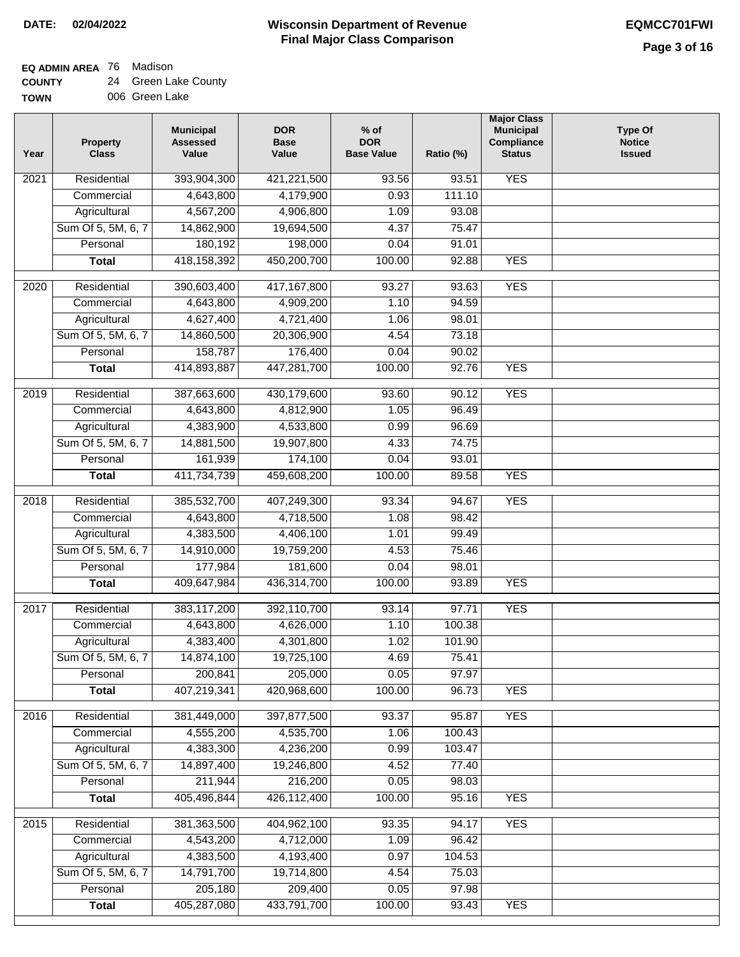**EQ ADMIN AREA** 76 Madison

| <b>COUNTY</b> | 24 Green Lake County |
|---------------|----------------------|
| <b>TOWN</b>   | 006 Green Lake       |

| Year             | <b>Property</b><br><b>Class</b> | <b>Municipal</b><br><b>Assessed</b><br>Value | <b>DOR</b><br><b>Base</b><br>Value | $%$ of<br><b>DOR</b><br><b>Base Value</b> | Ratio (%) | <b>Major Class</b><br><b>Municipal</b><br>Compliance<br><b>Status</b> | <b>Type Of</b><br><b>Notice</b><br><b>Issued</b> |
|------------------|---------------------------------|----------------------------------------------|------------------------------------|-------------------------------------------|-----------|-----------------------------------------------------------------------|--------------------------------------------------|
| 2021             | Residential                     | 393,904,300                                  | 421,221,500                        | 93.56                                     | 93.51     | <b>YES</b>                                                            |                                                  |
|                  | Commercial                      | 4,643,800                                    | 4,179,900                          | 0.93                                      | 111.10    |                                                                       |                                                  |
|                  | Agricultural                    | 4,567,200                                    | 4,906,800                          | 1.09                                      | 93.08     |                                                                       |                                                  |
|                  | Sum Of 5, 5M, 6, 7              | 14,862,900                                   | 19,694,500                         | 4.37                                      | 75.47     |                                                                       |                                                  |
|                  | Personal                        | 180,192                                      | 198,000                            | 0.04                                      | 91.01     |                                                                       |                                                  |
|                  | <b>Total</b>                    | 418, 158, 392                                | 450,200,700                        | 100.00                                    | 92.88     | <b>YES</b>                                                            |                                                  |
| 2020             | Residential                     | 390,603,400                                  | 417, 167, 800                      | 93.27                                     | 93.63     | <b>YES</b>                                                            |                                                  |
|                  | Commercial                      | 4,643,800                                    | 4,909,200                          | 1.10                                      | 94.59     |                                                                       |                                                  |
|                  | Agricultural                    | 4,627,400                                    | 4,721,400                          | 1.06                                      | 98.01     |                                                                       |                                                  |
|                  | Sum Of 5, 5M, 6, 7              | 14,860,500                                   | 20,306,900                         | 4.54                                      | 73.18     |                                                                       |                                                  |
|                  | Personal                        | 158,787                                      | 176,400                            | 0.04                                      | 90.02     |                                                                       |                                                  |
|                  | <b>Total</b>                    | 414,893,887                                  | 447,281,700                        | 100.00                                    | 92.76     | <b>YES</b>                                                            |                                                  |
|                  |                                 |                                              |                                    |                                           |           |                                                                       |                                                  |
| 2019             | Residential                     | 387,663,600                                  | 430,179,600                        | 93.60                                     | 90.12     | <b>YES</b>                                                            |                                                  |
|                  | Commercial                      | 4,643,800                                    | 4,812,900                          | 1.05                                      | 96.49     |                                                                       |                                                  |
|                  | Agricultural                    | 4,383,900                                    | 4,533,800                          | 0.99                                      | 96.69     |                                                                       |                                                  |
|                  | Sum Of 5, 5M, 6, 7              | 14,881,500                                   | 19,907,800                         | 4.33                                      | 74.75     |                                                                       |                                                  |
|                  | Personal                        | 161,939                                      | 174,100                            | 0.04                                      | 93.01     |                                                                       |                                                  |
|                  | <b>Total</b>                    | 411,734,739                                  | 459,608,200                        | 100.00                                    | 89.58     | <b>YES</b>                                                            |                                                  |
| 2018             | Residential                     | 385,532,700                                  | 407,249,300                        | 93.34                                     | 94.67     | <b>YES</b>                                                            |                                                  |
|                  | Commercial                      | 4,643,800                                    | 4,718,500                          | 1.08                                      | 98.42     |                                                                       |                                                  |
|                  | Agricultural                    | 4,383,500                                    | 4,406,100                          | 1.01                                      | 99.49     |                                                                       |                                                  |
|                  | Sum Of 5, 5M, 6, 7              | 14,910,000                                   | 19,759,200                         | 4.53                                      | 75.46     |                                                                       |                                                  |
|                  | Personal                        | 177,984                                      | 181,600                            | 0.04                                      | 98.01     |                                                                       |                                                  |
|                  | <b>Total</b>                    | 409,647,984                                  | 436,314,700                        | 100.00                                    | 93.89     | <b>YES</b>                                                            |                                                  |
| 2017             | Residential                     | 383,117,200                                  | 392,110,700                        | 93.14                                     | 97.71     | <b>YES</b>                                                            |                                                  |
|                  | Commercial                      | 4,643,800                                    | 4,626,000                          | 1.10                                      | 100.38    |                                                                       |                                                  |
|                  | Agricultural                    | 4,383,400                                    | 4,301,800                          | 1.02                                      | 101.90    |                                                                       |                                                  |
|                  | Sum Of 5, 5M, 6, 7              | 14,874,100                                   | 19,725,100                         | 4.69                                      | 75.41     |                                                                       |                                                  |
|                  | Personal                        | 200,841                                      | 205,000                            | 0.05                                      | 97.97     |                                                                       |                                                  |
|                  | <b>Total</b>                    | 407,219,341                                  | 420,968,600                        | 100.00                                    | 96.73     | <b>YES</b>                                                            |                                                  |
| 2016             | Residential                     | 381,449,000                                  | 397,877,500                        | 93.37                                     | 95.87     | <b>YES</b>                                                            |                                                  |
|                  | Commercial                      | 4,555,200                                    | 4,535,700                          | 1.06                                      | 100.43    |                                                                       |                                                  |
|                  | Agricultural                    | 4,383,300                                    | 4,236,200                          | 0.99                                      | 103.47    |                                                                       |                                                  |
|                  | Sum Of 5, 5M, 6, 7              | 14,897,400                                   | 19,246,800                         | 4.52                                      | 77.40     |                                                                       |                                                  |
|                  | Personal                        | 211,944                                      | 216,200                            | 0.05                                      | 98.03     |                                                                       |                                                  |
|                  | <b>Total</b>                    | 405,496,844                                  | 426,112,400                        | 100.00                                    | 95.16     | <b>YES</b>                                                            |                                                  |
|                  |                                 |                                              |                                    |                                           |           |                                                                       |                                                  |
| $\frac{2015}{ }$ | Residential                     | 381,363,500                                  | 404,962,100                        | 93.35                                     | 94.17     | <b>YES</b>                                                            |                                                  |
|                  | Commercial                      | 4,543,200                                    | 4,712,000                          | 1.09                                      | 96.42     |                                                                       |                                                  |
|                  | Agricultural                    | 4,383,500                                    | 4,193,400                          | 0.97                                      | 104.53    |                                                                       |                                                  |
|                  | Sum Of 5, 5M, 6, 7              | 14,791,700                                   | 19,714,800                         | 4.54                                      | 75.03     |                                                                       |                                                  |
|                  | Personal                        | 205,180                                      | 209,400                            | 0.05                                      | 97.98     |                                                                       |                                                  |
|                  | <b>Total</b>                    | 405,287,080                                  | 433,791,700                        | 100.00                                    | 93.43     | <b>YES</b>                                                            |                                                  |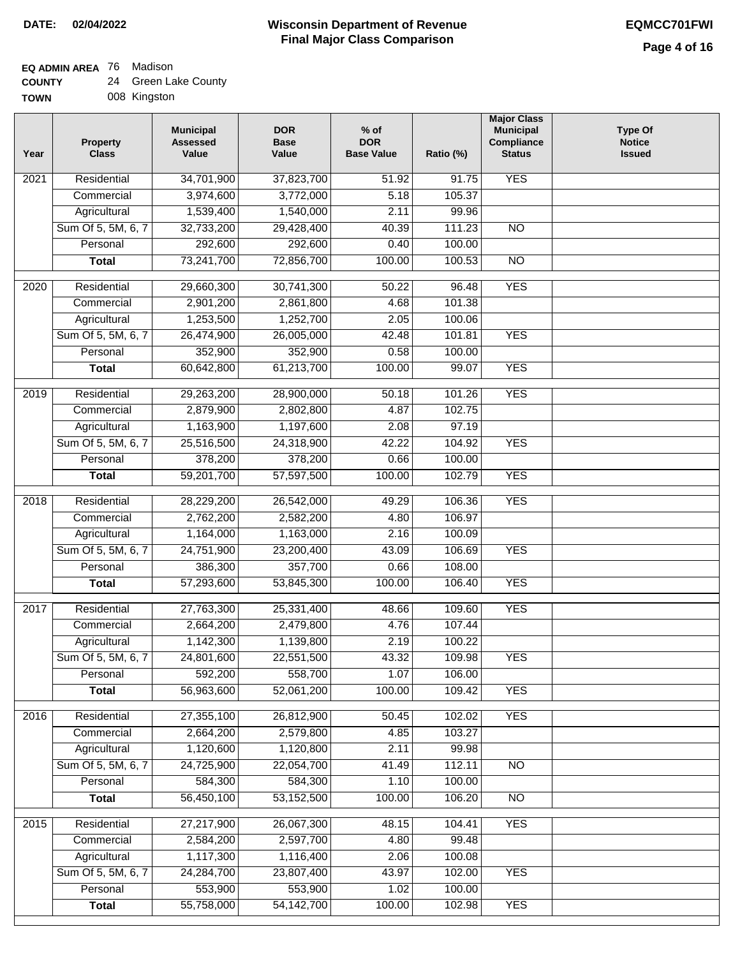## **EQ ADMIN AREA** 76 Madison

| <b>COUNTY</b> | 24 Green Lake County |
|---------------|----------------------|
|---------------|----------------------|

**TOWN** 008 Kingston

| Year | <b>Property</b><br><b>Class</b> | <b>Municipal</b><br><b>Assessed</b><br>Value | <b>DOR</b><br><b>Base</b><br>Value | $%$ of<br><b>DOR</b><br><b>Base Value</b> | Ratio (%) | <b>Major Class</b><br><b>Municipal</b><br>Compliance<br><b>Status</b> | <b>Type Of</b><br><b>Notice</b><br><b>Issued</b> |
|------|---------------------------------|----------------------------------------------|------------------------------------|-------------------------------------------|-----------|-----------------------------------------------------------------------|--------------------------------------------------|
| 2021 | Residential                     | 34,701,900                                   | 37,823,700                         | 51.92                                     | 91.75     | <b>YES</b>                                                            |                                                  |
|      | Commercial                      | 3,974,600                                    | 3,772,000                          | 5.18                                      | 105.37    |                                                                       |                                                  |
|      | Agricultural                    | 1,539,400                                    | 1,540,000                          | 2.11                                      | 99.96     |                                                                       |                                                  |
|      | Sum Of 5, 5M, 6, 7              | 32,733,200                                   | 29,428,400                         | 40.39                                     | 111.23    | $\overline{NO}$                                                       |                                                  |
|      | Personal                        | 292,600                                      | 292,600                            | 0.40                                      | 100.00    |                                                                       |                                                  |
|      | <b>Total</b>                    | 73,241,700                                   | 72,856,700                         | 100.00                                    | 100.53    | $\overline{NO}$                                                       |                                                  |
| 2020 | Residential                     | 29,660,300                                   | 30,741,300                         | 50.22                                     | 96.48     | <b>YES</b>                                                            |                                                  |
|      | Commercial                      | 2,901,200                                    | 2,861,800                          | 4.68                                      | 101.38    |                                                                       |                                                  |
|      | Agricultural                    | 1,253,500                                    | 1,252,700                          | 2.05                                      | 100.06    |                                                                       |                                                  |
|      | Sum Of 5, 5M, 6, 7              | 26,474,900                                   | 26,005,000                         | 42.48                                     | 101.81    | <b>YES</b>                                                            |                                                  |
|      | Personal                        | 352,900                                      | 352,900                            | 0.58                                      | 100.00    |                                                                       |                                                  |
|      | <b>Total</b>                    | 60,642,800                                   | 61,213,700                         | 100.00                                    | 99.07     | <b>YES</b>                                                            |                                                  |
|      |                                 |                                              |                                    |                                           |           |                                                                       |                                                  |
| 2019 | Residential                     | 29,263,200                                   | 28,900,000                         | 50.18                                     | 101.26    | <b>YES</b>                                                            |                                                  |
|      | Commercial                      | 2,879,900                                    | 2,802,800                          | 4.87                                      | 102.75    |                                                                       |                                                  |
|      | Agricultural                    | 1,163,900                                    | 1,197,600                          | 2.08                                      | 97.19     |                                                                       |                                                  |
|      | Sum Of 5, 5M, 6, 7              | 25,516,500                                   | 24,318,900                         | 42.22                                     | 104.92    | <b>YES</b>                                                            |                                                  |
|      | Personal                        | 378,200                                      | 378,200                            | 0.66                                      | 100.00    |                                                                       |                                                  |
|      | <b>Total</b>                    | 59,201,700                                   | 57,597,500                         | 100.00                                    | 102.79    | <b>YES</b>                                                            |                                                  |
| 2018 | Residential                     | 28,229,200                                   | 26,542,000                         | 49.29                                     | 106.36    | <b>YES</b>                                                            |                                                  |
|      | Commercial                      | 2,762,200                                    | 2,582,200                          | 4.80                                      | 106.97    |                                                                       |                                                  |
|      | Agricultural                    | 1,164,000                                    | 1,163,000                          | 2.16                                      | 100.09    |                                                                       |                                                  |
|      | Sum Of 5, 5M, 6, 7              | 24,751,900                                   | 23,200,400                         | 43.09                                     | 106.69    | <b>YES</b>                                                            |                                                  |
|      | Personal                        | 386,300                                      | 357,700                            | 0.66                                      | 108.00    |                                                                       |                                                  |
|      | <b>Total</b>                    | 57,293,600                                   | 53,845,300                         | 100.00                                    | 106.40    | <b>YES</b>                                                            |                                                  |
| 2017 | Residential                     | 27,763,300                                   | 25,331,400                         | 48.66                                     | 109.60    | <b>YES</b>                                                            |                                                  |
|      | Commercial                      | 2,664,200                                    | 2,479,800                          | 4.76                                      | 107.44    |                                                                       |                                                  |
|      | Agricultural                    | 1,142,300                                    | 1,139,800                          | 2.19                                      | 100.22    |                                                                       |                                                  |
|      | Sum Of 5, 5M, 6, 7              | 24,801,600                                   | 22,551,500                         | 43.32                                     | 109.98    | <b>YES</b>                                                            |                                                  |
|      | Personal                        | 592,200                                      | 558,700                            | 1.07                                      | 106.00    |                                                                       |                                                  |
|      | <b>Total</b>                    | 56,963,600                                   | 52,061,200                         | 100.00                                    | 109.42    | <b>YES</b>                                                            |                                                  |
| 2016 | Residential                     | 27,355,100                                   | 26,812,900                         | 50.45                                     | 102.02    | <b>YES</b>                                                            |                                                  |
|      | Commercial                      | 2,664,200                                    | 2,579,800                          | 4.85                                      | 103.27    |                                                                       |                                                  |
|      | Agricultural                    | 1,120,600                                    | 1,120,800                          | 2.11                                      | 99.98     |                                                                       |                                                  |
|      | Sum Of 5, 5M, 6, 7              | 24,725,900                                   | 22,054,700                         | 41.49                                     | 112.11    | $\overline{NO}$                                                       |                                                  |
|      | Personal                        | 584,300                                      | 584,300                            | 1.10                                      | 100.00    |                                                                       |                                                  |
|      | <b>Total</b>                    | 56,450,100                                   | 53,152,500                         | 100.00                                    | 106.20    | $\overline{NO}$                                                       |                                                  |
| 2015 | Residential                     | 27,217,900                                   | 26,067,300                         | 48.15                                     | 104.41    | <b>YES</b>                                                            |                                                  |
|      | Commercial                      | 2,584,200                                    | 2,597,700                          | 4.80                                      | 99.48     |                                                                       |                                                  |
|      | Agricultural                    | 1,117,300                                    | 1,116,400                          | 2.06                                      | 100.08    |                                                                       |                                                  |
|      | Sum Of 5, 5M, 6, 7              | 24,284,700                                   | 23,807,400                         | 43.97                                     | 102.00    | <b>YES</b>                                                            |                                                  |
|      | Personal                        | 553,900                                      | 553,900                            | 1.02                                      | 100.00    |                                                                       |                                                  |
|      | <b>Total</b>                    | 55,758,000                                   | 54, 142, 700                       | 100.00                                    | 102.98    | <b>YES</b>                                                            |                                                  |
|      |                                 |                                              |                                    |                                           |           |                                                                       |                                                  |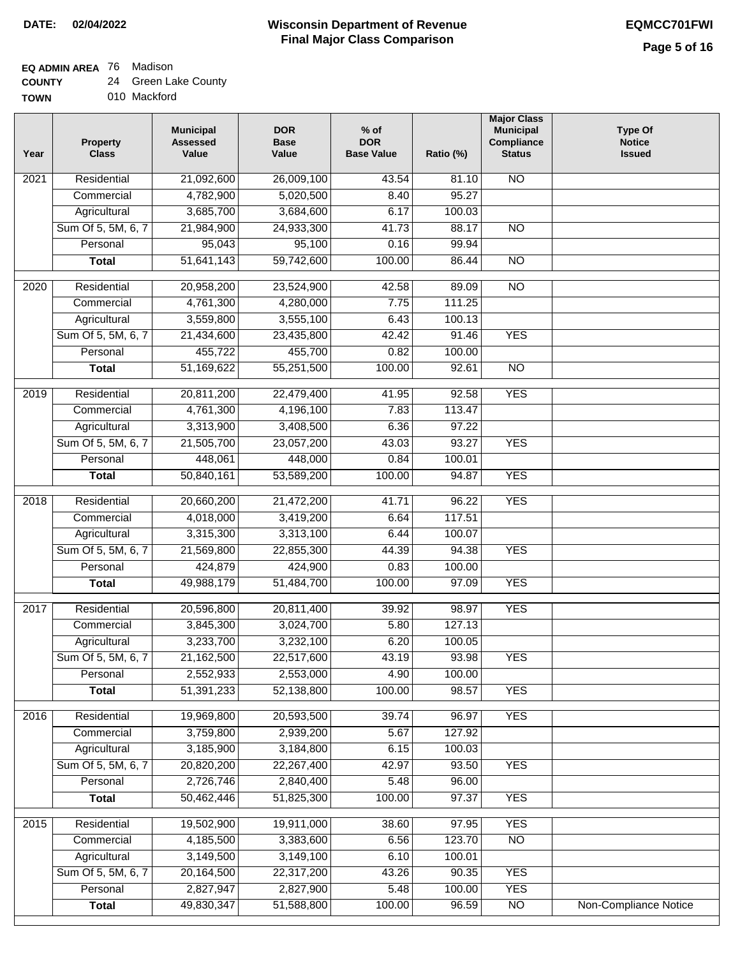### **EQ ADMIN AREA** 76 Madison

| Year | <b>Property</b><br><b>Class</b> | <b>Municipal</b><br><b>Assessed</b><br>Value | <b>DOR</b><br><b>Base</b><br>Value | $%$ of<br><b>DOR</b><br><b>Base Value</b> | Ratio (%) | <b>Major Class</b><br><b>Municipal</b><br>Compliance<br><b>Status</b> | <b>Type Of</b><br><b>Notice</b><br><b>Issued</b> |
|------|---------------------------------|----------------------------------------------|------------------------------------|-------------------------------------------|-----------|-----------------------------------------------------------------------|--------------------------------------------------|
| 2021 | Residential                     | 21,092,600                                   | 26,009,100                         | 43.54                                     | 81.10     | N <sub>O</sub>                                                        |                                                  |
|      | Commercial                      | 4,782,900                                    | 5,020,500                          | 8.40                                      | 95.27     |                                                                       |                                                  |
|      | Agricultural                    | 3,685,700                                    | 3,684,600                          | 6.17                                      | 100.03    |                                                                       |                                                  |
|      | Sum Of 5, 5M, 6, 7              | 21,984,900                                   | 24,933,300                         | 41.73                                     | 88.17     | $\overline{NO}$                                                       |                                                  |
|      | Personal                        | 95,043                                       | 95,100                             | 0.16                                      | 99.94     |                                                                       |                                                  |
|      | <b>Total</b>                    | 51,641,143                                   | 59,742,600                         | 100.00                                    | 86.44     | $\overline{NO}$                                                       |                                                  |
| 2020 | Residential                     | 20,958,200                                   | 23,524,900                         | 42.58                                     | 89.09     | $\overline{NO}$                                                       |                                                  |
|      | Commercial                      | 4,761,300                                    | 4,280,000                          | 7.75                                      | 111.25    |                                                                       |                                                  |
|      | Agricultural                    | 3,559,800                                    | 3,555,100                          | 6.43                                      | 100.13    |                                                                       |                                                  |
|      | Sum Of 5, 5M, 6, 7              | 21,434,600                                   | 23,435,800                         | 42.42                                     | 91.46     | <b>YES</b>                                                            |                                                  |
|      | Personal                        | 455,722                                      | 455,700                            | 0.82                                      | 100.00    |                                                                       |                                                  |
|      | <b>Total</b>                    | 51,169,622                                   | 55,251,500                         | 100.00                                    | 92.61     | $\overline{NO}$                                                       |                                                  |
|      |                                 |                                              |                                    |                                           |           |                                                                       |                                                  |
| 2019 | Residential                     | 20,811,200                                   | 22,479,400                         | 41.95                                     | 92.58     | <b>YES</b>                                                            |                                                  |
|      | Commercial                      | 4,761,300                                    | 4,196,100                          | 7.83                                      | 113.47    |                                                                       |                                                  |
|      | Agricultural                    | 3,313,900                                    | 3,408,500                          | 6.36                                      | 97.22     |                                                                       |                                                  |
|      | Sum Of 5, 5M, 6, 7              | 21,505,700                                   | 23,057,200                         | 43.03                                     | 93.27     | <b>YES</b>                                                            |                                                  |
|      | Personal                        | 448,061                                      | 448,000                            | 0.84                                      | 100.01    |                                                                       |                                                  |
|      | <b>Total</b>                    | 50,840,161                                   | 53,589,200                         | 100.00                                    | 94.87     | <b>YES</b>                                                            |                                                  |
| 2018 | Residential                     | 20,660,200                                   | 21,472,200                         | 41.71                                     | 96.22     | <b>YES</b>                                                            |                                                  |
|      | Commercial                      | 4,018,000                                    | 3,419,200                          | 6.64                                      | 117.51    |                                                                       |                                                  |
|      | Agricultural                    | 3,315,300                                    | 3,313,100                          | 6.44                                      | 100.07    |                                                                       |                                                  |
|      | Sum Of 5, 5M, 6, 7              | 21,569,800                                   | 22,855,300                         | 44.39                                     | 94.38     | <b>YES</b>                                                            |                                                  |
|      | Personal                        | 424,879                                      | 424,900                            | 0.83                                      | 100.00    |                                                                       |                                                  |
|      | <b>Total</b>                    | 49,988,179                                   | 51,484,700                         | 100.00                                    | 97.09     | <b>YES</b>                                                            |                                                  |
| 2017 | Residential                     | 20,596,800                                   | 20,811,400                         | 39.92                                     | 98.97     | <b>YES</b>                                                            |                                                  |
|      | Commercial                      | 3,845,300                                    | 3,024,700                          | 5.80                                      | 127.13    |                                                                       |                                                  |
|      | Agricultural                    | 3,233,700                                    | 3,232,100                          | 6.20                                      | 100.05    |                                                                       |                                                  |
|      | Sum Of 5, 5M, 6, 7              | 21,162,500                                   | 22,517,600                         | 43.19                                     | 93.98     | <b>YES</b>                                                            |                                                  |
|      | Personal                        | 2,552,933                                    | 2,553,000                          | 4.90                                      | 100.00    |                                                                       |                                                  |
|      | <b>Total</b>                    | 51,391,233                                   | 52,138,800                         | 100.00                                    | 98.57     | <b>YES</b>                                                            |                                                  |
|      |                                 |                                              |                                    |                                           |           |                                                                       |                                                  |
| 2016 | Residential                     | 19,969,800                                   | 20,593,500                         | 39.74                                     | 96.97     | <b>YES</b>                                                            |                                                  |
|      | Commercial                      | 3,759,800                                    | 2,939,200                          | 5.67                                      | 127.92    |                                                                       |                                                  |
|      | Agricultural                    | 3,185,900                                    | 3,184,800                          | 6.15                                      | 100.03    |                                                                       |                                                  |
|      | Sum Of 5, 5M, 6, 7              | 20,820,200                                   | 22,267,400                         | 42.97                                     | 93.50     | <b>YES</b>                                                            |                                                  |
|      | Personal                        | 2,726,746                                    | 2,840,400                          | 5.48                                      | 96.00     |                                                                       |                                                  |
|      | <b>Total</b>                    | 50,462,446                                   | 51,825,300                         | 100.00                                    | 97.37     | <b>YES</b>                                                            |                                                  |
| 2015 | Residential                     | 19,502,900                                   | 19,911,000                         | 38.60                                     | 97.95     | <b>YES</b>                                                            |                                                  |
|      | Commercial                      | 4,185,500                                    | 3,383,600                          | 6.56                                      | 123.70    | $\overline{NO}$                                                       |                                                  |
|      | Agricultural                    | 3,149,500                                    | 3,149,100                          | 6.10                                      | 100.01    |                                                                       |                                                  |
|      | Sum Of 5, 5M, 6, 7              | 20,164,500                                   | 22,317,200                         | 43.26                                     | 90.35     | <b>YES</b>                                                            |                                                  |
|      | Personal                        | 2,827,947                                    | 2,827,900                          | 5.48                                      | 100.00    | <b>YES</b>                                                            |                                                  |
|      | <b>Total</b>                    | 49,830,347                                   | 51,588,800                         | 100.00                                    | 96.59     | $\overline{NO}$                                                       | <b>Non-Compliance Notice</b>                     |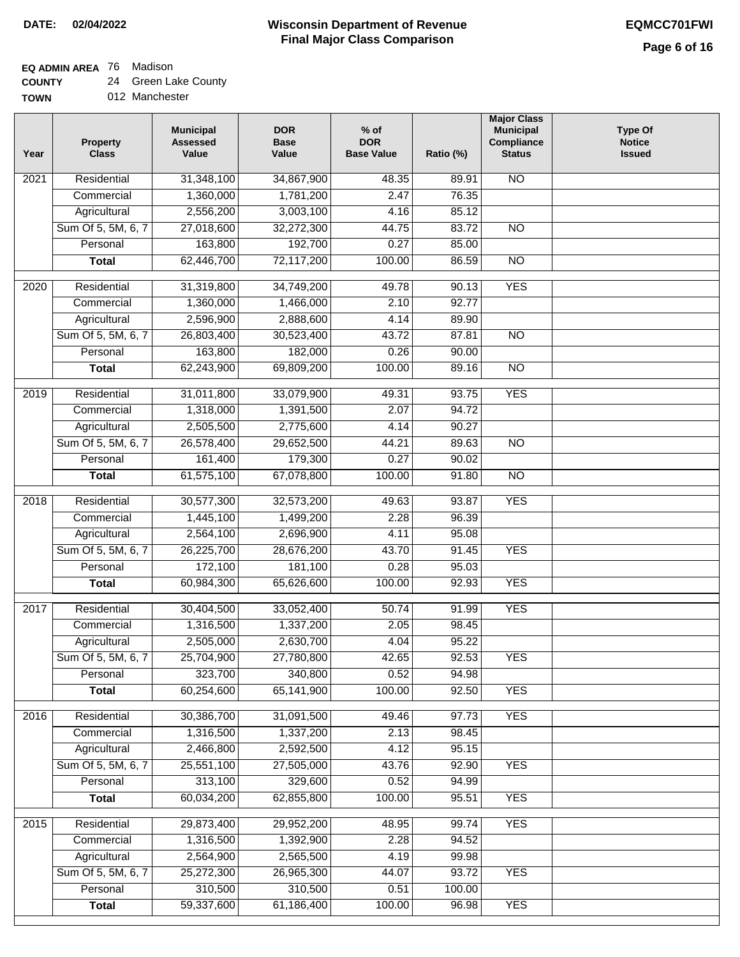**EQ ADMIN AREA** 76 Madison

**COUNTY** 24 Green Lake County

| <b>TOWN</b> |  | 012 Manchester |
|-------------|--|----------------|
|-------------|--|----------------|

| Year | <b>Property</b><br><b>Class</b> | <b>Municipal</b><br><b>Assessed</b><br>Value | <b>DOR</b><br><b>Base</b><br>Value | $%$ of<br><b>DOR</b><br><b>Base Value</b> | Ratio (%)      | <b>Major Class</b><br><b>Municipal</b><br>Compliance<br><b>Status</b> | <b>Type Of</b><br><b>Notice</b><br><b>Issued</b> |
|------|---------------------------------|----------------------------------------------|------------------------------------|-------------------------------------------|----------------|-----------------------------------------------------------------------|--------------------------------------------------|
| 2021 | Residential                     | 31,348,100                                   | 34,867,900                         | 48.35                                     | 89.91          | <b>NO</b>                                                             |                                                  |
|      | Commercial                      | 1,360,000                                    | 1,781,200                          | 2.47                                      | 76.35          |                                                                       |                                                  |
|      | Agricultural                    | 2,556,200                                    | 3,003,100                          | 4.16                                      | 85.12          |                                                                       |                                                  |
|      | Sum Of 5, 5M, 6, 7              | 27,018,600                                   | 32,272,300                         | 44.75                                     | 83.72          | $\overline{NO}$                                                       |                                                  |
|      | Personal                        | 163,800                                      | 192,700                            | 0.27                                      | 85.00          |                                                                       |                                                  |
|      | <b>Total</b>                    | 62,446,700                                   | 72,117,200                         | 100.00                                    | 86.59          | $\overline{NO}$                                                       |                                                  |
| 2020 | Residential                     | 31,319,800                                   | 34,749,200                         | 49.78                                     | 90.13          | <b>YES</b>                                                            |                                                  |
|      | Commercial                      | 1,360,000                                    | 1,466,000                          | 2.10                                      | 92.77          |                                                                       |                                                  |
|      | Agricultural                    | 2,596,900                                    | 2,888,600                          | 4.14                                      | 89.90          |                                                                       |                                                  |
|      | Sum Of 5, 5M, 6, 7              | 26,803,400                                   | 30,523,400                         | 43.72                                     | 87.81          | <b>NO</b>                                                             |                                                  |
|      | Personal                        | 163,800                                      | 182,000                            | 0.26                                      | 90.00          |                                                                       |                                                  |
|      | <b>Total</b>                    | 62,243,900                                   | 69,809,200                         | 100.00                                    | 89.16          | $\overline{NO}$                                                       |                                                  |
| 2019 | Residential                     | 31,011,800                                   | 33,079,900                         | 49.31                                     | 93.75          | <b>YES</b>                                                            |                                                  |
|      | Commercial                      | 1,318,000                                    | 1,391,500                          | 2.07                                      | 94.72          |                                                                       |                                                  |
|      | Agricultural                    | 2,505,500                                    | 2,775,600                          | 4.14                                      | 90.27          |                                                                       |                                                  |
|      | Sum Of 5, 5M, 6, 7              | 26,578,400                                   | 29,652,500                         | 44.21                                     | 89.63          | $\overline{NO}$                                                       |                                                  |
|      | Personal                        | 161,400                                      | 179,300                            | 0.27                                      | 90.02          |                                                                       |                                                  |
|      | <b>Total</b>                    | 61,575,100                                   | 67,078,800                         | 100.00                                    | 91.80          | $\overline{NO}$                                                       |                                                  |
|      |                                 |                                              |                                    |                                           |                |                                                                       |                                                  |
| 2018 | Residential                     | 30,577,300                                   | 32,573,200                         | 49.63                                     | 93.87          | <b>YES</b>                                                            |                                                  |
|      | Commercial                      | 1,445,100                                    | 1,499,200                          | 2.28                                      | 96.39          |                                                                       |                                                  |
|      | Agricultural                    | 2,564,100                                    | 2,696,900                          | 4.11                                      | 95.08          |                                                                       |                                                  |
|      | Sum Of 5, 5M, 6, 7<br>Personal  | 26,225,700<br>172,100                        | 28,676,200<br>181,100              | 43.70<br>0.28                             | 91.45<br>95.03 | <b>YES</b>                                                            |                                                  |
|      | <b>Total</b>                    | 60,984,300                                   | 65,626,600                         | 100.00                                    | 92.93          | <b>YES</b>                                                            |                                                  |
|      |                                 |                                              |                                    |                                           |                |                                                                       |                                                  |
| 2017 | Residential                     | 30,404,500                                   | 33,052,400                         | 50.74                                     | 91.99          | <b>YES</b>                                                            |                                                  |
|      | Commercial                      | 1,316,500                                    | 1,337,200                          | 2.05                                      | 98.45          |                                                                       |                                                  |
|      | Agricultural                    | 2,505,000                                    | 2,630,700                          | 4.04                                      | 95.22          |                                                                       |                                                  |
|      | Sum Of 5, 5M, 6, 7              | 25,704,900                                   | 27,780,800                         | 42.65                                     | 92.53          | <b>YES</b>                                                            |                                                  |
|      | Personal                        | 323,700                                      | 340,800                            | 0.52                                      | 94.98          |                                                                       |                                                  |
|      | <b>Total</b>                    | 60,254,600                                   | 65,141,900                         | 100.00                                    | 92.50          | <b>YES</b>                                                            |                                                  |
| 2016 | Residential                     | 30,386,700                                   | 31,091,500                         | 49.46                                     | 97.73          | <b>YES</b>                                                            |                                                  |
|      | Commercial                      | 1,316,500                                    | 1,337,200                          | 2.13                                      | 98.45          |                                                                       |                                                  |
|      | Agricultural                    | 2,466,800                                    | 2,592,500                          | 4.12                                      | 95.15          |                                                                       |                                                  |
|      | Sum Of 5, 5M, 6, 7              | 25,551,100                                   | 27,505,000                         | 43.76                                     | 92.90          | <b>YES</b>                                                            |                                                  |
|      | Personal                        | 313,100                                      | 329,600                            | 0.52                                      | 94.99          |                                                                       |                                                  |
|      | <b>Total</b>                    | 60,034,200                                   | 62,855,800                         | 100.00                                    | 95.51          | <b>YES</b>                                                            |                                                  |
| 2015 | Residential                     | 29,873,400                                   | 29,952,200                         | 48.95                                     | 99.74          | <b>YES</b>                                                            |                                                  |
|      | Commercial                      | 1,316,500                                    | 1,392,900                          | 2.28                                      | 94.52          |                                                                       |                                                  |
|      | Agricultural                    | 2,564,900                                    | 2,565,500                          | 4.19                                      | 99.98          |                                                                       |                                                  |
|      | Sum Of 5, 5M, 6, 7              | 25,272,300                                   | 26,965,300                         | 44.07                                     | 93.72          | <b>YES</b>                                                            |                                                  |
|      | Personal                        | 310,500                                      | 310,500                            | 0.51                                      | 100.00         |                                                                       |                                                  |
|      | <b>Total</b>                    | 59,337,600                                   | 61,186,400                         | 100.00                                    | 96.98          | <b>YES</b>                                                            |                                                  |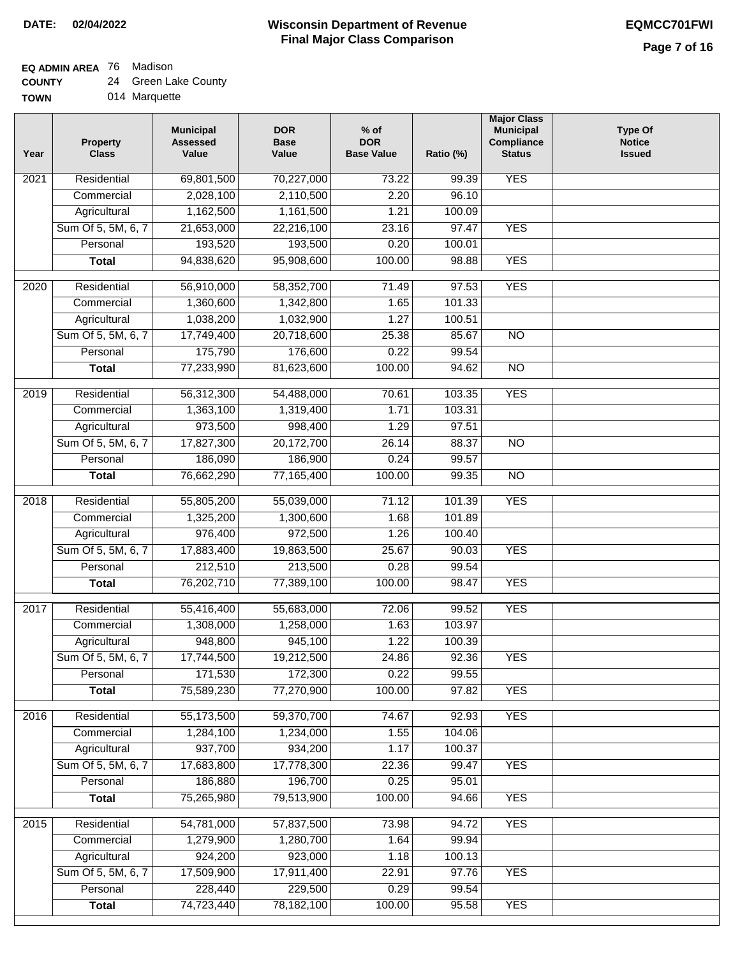٦

### **EQ ADMIN AREA** 76 Madison

| <b>COUNTY</b> |  | 24 Green Lake County |
|---------------|--|----------------------|
|---------------|--|----------------------|

| 014 Marquette |
|---------------|
|               |

| Year              | <b>Property</b><br><b>Class</b> | <b>Municipal</b><br><b>Assessed</b><br>Value | <b>DOR</b><br><b>Base</b><br>Value | $%$ of<br><b>DOR</b><br><b>Base Value</b> | Ratio (%) | <b>Major Class</b><br><b>Municipal</b><br>Compliance<br><b>Status</b> | <b>Type Of</b><br><b>Notice</b><br><b>Issued</b> |
|-------------------|---------------------------------|----------------------------------------------|------------------------------------|-------------------------------------------|-----------|-----------------------------------------------------------------------|--------------------------------------------------|
| 2021              | Residential                     | 69,801,500                                   | 70,227,000                         | 73.22                                     | 99.39     | <b>YES</b>                                                            |                                                  |
|                   | Commercial                      | 2,028,100                                    | 2,110,500                          | 2.20                                      | 96.10     |                                                                       |                                                  |
|                   | Agricultural                    | 1,162,500                                    | 1,161,500                          | 1.21                                      | 100.09    |                                                                       |                                                  |
|                   | Sum Of 5, 5M, 6, 7              | 21,653,000                                   | 22,216,100                         | 23.16                                     | 97.47     | <b>YES</b>                                                            |                                                  |
|                   | Personal                        | 193,520                                      | 193,500                            | 0.20                                      | 100.01    |                                                                       |                                                  |
|                   | <b>Total</b>                    | 94,838,620                                   | 95,908,600                         | 100.00                                    | 98.88     | <b>YES</b>                                                            |                                                  |
| $\overline{2020}$ | Residential                     | 56,910,000                                   | 58,352,700                         | 71.49                                     | 97.53     | <b>YES</b>                                                            |                                                  |
|                   | Commercial                      | 1,360,600                                    | 1,342,800                          | 1.65                                      | 101.33    |                                                                       |                                                  |
|                   | Agricultural                    | 1,038,200                                    | 1,032,900                          | 1.27                                      | 100.51    |                                                                       |                                                  |
|                   | Sum Of 5, 5M, 6, 7              | 17,749,400                                   | 20,718,600                         | 25.38                                     | 85.67     | <b>NO</b>                                                             |                                                  |
|                   | Personal                        | 175,790                                      | 176,600                            | 0.22                                      | 99.54     |                                                                       |                                                  |
|                   | <b>Total</b>                    | 77,233,990                                   | 81,623,600                         | 100.00                                    | 94.62     | <b>NO</b>                                                             |                                                  |
|                   |                                 |                                              |                                    |                                           |           |                                                                       |                                                  |
| $\frac{1}{2019}$  | Residential                     | 56,312,300                                   | 54,488,000                         | 70.61                                     | 103.35    | <b>YES</b>                                                            |                                                  |
|                   | Commercial                      | 1,363,100                                    | 1,319,400                          | 1.71                                      | 103.31    |                                                                       |                                                  |
|                   | Agricultural                    | 973,500                                      | 998,400                            | 1.29                                      | 97.51     |                                                                       |                                                  |
|                   | Sum Of 5, 5M, 6, 7              | 17,827,300                                   | 20,172,700                         | 26.14                                     | 88.37     | $\overline{NO}$                                                       |                                                  |
|                   | Personal                        | 186,090                                      | 186,900                            | 0.24                                      | 99.57     |                                                                       |                                                  |
|                   | <b>Total</b>                    | 76,662,290                                   | 77,165,400                         | 100.00                                    | 99.35     | $\overline{NO}$                                                       |                                                  |
| 2018              | Residential                     | 55,805,200                                   | 55,039,000                         | 71.12                                     | 101.39    | <b>YES</b>                                                            |                                                  |
|                   | Commercial                      | 1,325,200                                    | 1,300,600                          | 1.68                                      | 101.89    |                                                                       |                                                  |
|                   | Agricultural                    | 976,400                                      | 972,500                            | 1.26                                      | 100.40    |                                                                       |                                                  |
|                   | Sum Of 5, 5M, 6, 7              | 17,883,400                                   | 19,863,500                         | 25.67                                     | 90.03     | <b>YES</b>                                                            |                                                  |
|                   | Personal                        | 212,510                                      | 213,500                            | 0.28                                      | 99.54     |                                                                       |                                                  |
|                   | <b>Total</b>                    | 76,202,710                                   | 77,389,100                         | 100.00                                    | 98.47     | <b>YES</b>                                                            |                                                  |
| 2017              | Residential                     | 55,416,400                                   | 55,683,000                         | 72.06                                     | 99.52     | <b>YES</b>                                                            |                                                  |
|                   | Commercial                      | 1,308,000                                    | 1,258,000                          | 1.63                                      | 103.97    |                                                                       |                                                  |
|                   | Agricultural                    | 948,800                                      | 945,100                            | 1.22                                      | 100.39    |                                                                       |                                                  |
|                   | Sum Of 5, 5M, 6, 7              | 17,744,500                                   | 19,212,500                         | 24.86                                     | 92.36     | <b>YES</b>                                                            |                                                  |
|                   | Personal                        | 171,530                                      | 172,300                            | 0.22                                      | 99.55     |                                                                       |                                                  |
|                   | <b>Total</b>                    | 75,589,230                                   | 77,270,900                         | 100.00                                    | 97.82     | <b>YES</b>                                                            |                                                  |
| 2016              | Residential                     | 55,173,500                                   | 59,370,700                         | 74.67                                     | 92.93     | <b>YES</b>                                                            |                                                  |
|                   | Commercial                      | 1,284,100                                    | 1,234,000                          | 1.55                                      | 104.06    |                                                                       |                                                  |
|                   | Agricultural                    | 937,700                                      | 934,200                            | 1.17                                      | 100.37    |                                                                       |                                                  |
|                   | Sum Of 5, 5M, 6, 7              | 17,683,800                                   | 17,778,300                         | 22.36                                     | 99.47     | <b>YES</b>                                                            |                                                  |
|                   | Personal                        | 186,880                                      | 196,700                            | 0.25                                      | 95.01     |                                                                       |                                                  |
|                   | <b>Total</b>                    | 75,265,980                                   | 79,513,900                         | 100.00                                    | 94.66     | <b>YES</b>                                                            |                                                  |
|                   |                                 |                                              |                                    |                                           |           |                                                                       |                                                  |
| 2015              | Residential                     | 54,781,000                                   | 57,837,500                         | 73.98                                     | 94.72     | <b>YES</b>                                                            |                                                  |
|                   | Commercial                      | 1,279,900                                    | 1,280,700                          | 1.64                                      | 99.94     |                                                                       |                                                  |
|                   | Agricultural                    | 924,200                                      | 923,000                            | 1.18                                      | 100.13    |                                                                       |                                                  |
|                   | Sum Of 5, 5M, 6, 7              | 17,509,900                                   | 17,911,400                         | 22.91                                     | 97.76     | <b>YES</b>                                                            |                                                  |
|                   | Personal                        | 228,440                                      | 229,500                            | 0.29                                      | 99.54     |                                                                       |                                                  |
|                   | <b>Total</b>                    | 74,723,440                                   | 78,182,100                         | 100.00                                    | 95.58     | <b>YES</b>                                                            |                                                  |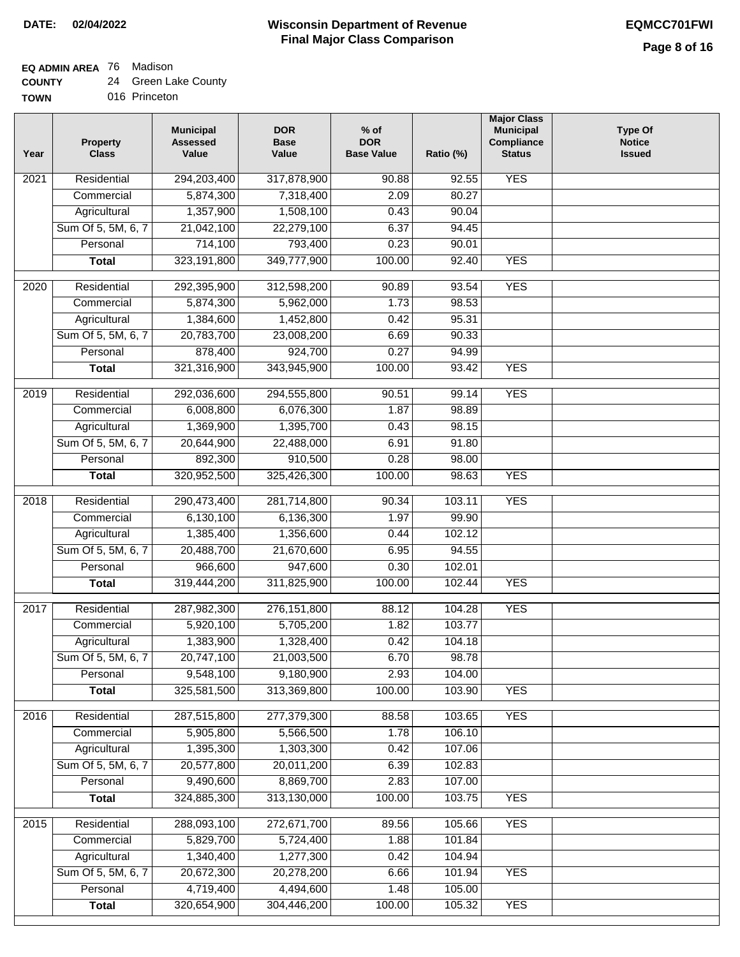## **EQ ADMIN AREA** 76 Madison

| <b>COUNTY</b> |  | 24 Green Lake County |
|---------------|--|----------------------|
|---------------|--|----------------------|

**TOWN** 016 Princeton

| Year | <b>Property</b><br><b>Class</b> | <b>Municipal</b><br><b>Assessed</b><br>Value | <b>DOR</b><br><b>Base</b><br>Value | $%$ of<br><b>DOR</b><br><b>Base Value</b> | Ratio (%) | <b>Major Class</b><br><b>Municipal</b><br>Compliance<br><b>Status</b> | <b>Type Of</b><br><b>Notice</b><br><b>Issued</b> |
|------|---------------------------------|----------------------------------------------|------------------------------------|-------------------------------------------|-----------|-----------------------------------------------------------------------|--------------------------------------------------|
| 2021 | Residential                     | 294,203,400                                  | 317,878,900                        | 90.88                                     | 92.55     | <b>YES</b>                                                            |                                                  |
|      | Commercial                      | 5,874,300                                    | 7,318,400                          | 2.09                                      | 80.27     |                                                                       |                                                  |
|      | Agricultural                    | 1,357,900                                    | 1,508,100                          | 0.43                                      | 90.04     |                                                                       |                                                  |
|      | Sum Of 5, 5M, 6, 7              | 21,042,100                                   | 22,279,100                         | 6.37                                      | 94.45     |                                                                       |                                                  |
|      | Personal                        | 714,100                                      | 793,400                            | 0.23                                      | 90.01     |                                                                       |                                                  |
|      | <b>Total</b>                    | 323,191,800                                  | 349,777,900                        | 100.00                                    | 92.40     | <b>YES</b>                                                            |                                                  |
| 2020 | Residential                     | 292,395,900                                  | 312,598,200                        | 90.89                                     | 93.54     | <b>YES</b>                                                            |                                                  |
|      | Commercial                      | 5,874,300                                    | 5,962,000                          | 1.73                                      | 98.53     |                                                                       |                                                  |
|      | Agricultural                    | 1,384,600                                    | 1,452,800                          | 0.42                                      | 95.31     |                                                                       |                                                  |
|      | Sum Of 5, 5M, 6, 7              | 20,783,700                                   | 23,008,200                         | 6.69                                      | 90.33     |                                                                       |                                                  |
|      | Personal                        | 878,400                                      | 924,700                            | 0.27                                      | 94.99     |                                                                       |                                                  |
|      | <b>Total</b>                    | 321,316,900                                  | 343,945,900                        | 100.00                                    | 93.42     | <b>YES</b>                                                            |                                                  |
|      |                                 |                                              |                                    |                                           |           |                                                                       |                                                  |
| 2019 | Residential                     | 292,036,600                                  | 294,555,800                        | 90.51                                     | 99.14     | <b>YES</b>                                                            |                                                  |
|      | Commercial                      | 6,008,800                                    | 6,076,300                          | 1.87                                      | 98.89     |                                                                       |                                                  |
|      | Agricultural                    | 1,369,900                                    | 1,395,700                          | 0.43                                      | 98.15     |                                                                       |                                                  |
|      | Sum Of 5, 5M, 6, 7              | 20,644,900                                   | 22,488,000                         | 6.91                                      | 91.80     |                                                                       |                                                  |
|      | Personal                        | 892,300                                      | 910,500                            | 0.28                                      | 98.00     |                                                                       |                                                  |
|      | <b>Total</b>                    | 320,952,500                                  | 325,426,300                        | 100.00                                    | 98.63     | <b>YES</b>                                                            |                                                  |
| 2018 | Residential                     | 290,473,400                                  | 281,714,800                        | 90.34                                     | 103.11    | <b>YES</b>                                                            |                                                  |
|      | Commercial                      | 6,130,100                                    | 6,136,300                          | 1.97                                      | 99.90     |                                                                       |                                                  |
|      | Agricultural                    | 1,385,400                                    | 1,356,600                          | 0.44                                      | 102.12    |                                                                       |                                                  |
|      | Sum Of 5, 5M, 6, 7              | 20,488,700                                   | 21,670,600                         | 6.95                                      | 94.55     |                                                                       |                                                  |
|      | Personal                        | 966,600                                      | 947,600                            | 0.30                                      | 102.01    |                                                                       |                                                  |
|      | <b>Total</b>                    | 319,444,200                                  | 311,825,900                        | 100.00                                    | 102.44    | <b>YES</b>                                                            |                                                  |
| 2017 | Residential                     | 287,982,300                                  | 276, 151, 800                      | 88.12                                     | 104.28    | <b>YES</b>                                                            |                                                  |
|      | Commercial                      | 5,920,100                                    | 5,705,200                          | 1.82                                      | 103.77    |                                                                       |                                                  |
|      | Agricultural                    | 1,383,900                                    | 1,328,400                          | 0.42                                      | 104.18    |                                                                       |                                                  |
|      | Sum Of 5, 5M, 6, 7              | 20,747,100                                   | 21,003,500                         | 6.70                                      | 98.78     |                                                                       |                                                  |
|      | Personal                        | 9,548,100                                    | 9,180,900                          | 2.93                                      | 104.00    |                                                                       |                                                  |
|      | <b>Total</b>                    | 325,581,500                                  | 313,369,800                        | 100.00                                    | 103.90    | <b>YES</b>                                                            |                                                  |
|      |                                 |                                              |                                    |                                           |           |                                                                       |                                                  |
| 2016 | Residential                     | 287,515,800                                  | 277,379,300                        | 88.58                                     | 103.65    | <b>YES</b>                                                            |                                                  |
|      | Commercial                      | 5,905,800                                    | 5,566,500                          | 1.78                                      | 106.10    |                                                                       |                                                  |
|      | Agricultural                    | 1,395,300                                    | 1,303,300                          | 0.42                                      | 107.06    |                                                                       |                                                  |
|      | Sum Of 5, 5M, 6, 7              | 20,577,800                                   | 20,011,200                         | 6.39                                      | 102.83    |                                                                       |                                                  |
|      | Personal                        | 9,490,600                                    | 8,869,700                          | 2.83                                      | 107.00    |                                                                       |                                                  |
|      | <b>Total</b>                    | 324,885,300                                  | 313,130,000                        | 100.00                                    | 103.75    | <b>YES</b>                                                            |                                                  |
| 2015 | Residential                     | 288,093,100                                  | 272,671,700                        | 89.56                                     | 105.66    | <b>YES</b>                                                            |                                                  |
|      | Commercial                      | 5,829,700                                    | 5,724,400                          | 1.88                                      | 101.84    |                                                                       |                                                  |
|      | Agricultural                    | 1,340,400                                    | 1,277,300                          | 0.42                                      | 104.94    |                                                                       |                                                  |
|      | Sum Of 5, 5M, 6, 7              | 20,672,300                                   | 20,278,200                         | 6.66                                      | 101.94    | <b>YES</b>                                                            |                                                  |
|      | Personal                        | 4,719,400                                    | 4,494,600                          | 1.48                                      | 105.00    |                                                                       |                                                  |
|      | <b>Total</b>                    | 320,654,900                                  | 304,446,200                        | 100.00                                    | 105.32    | <b>YES</b>                                                            |                                                  |
|      |                                 |                                              |                                    |                                           |           |                                                                       |                                                  |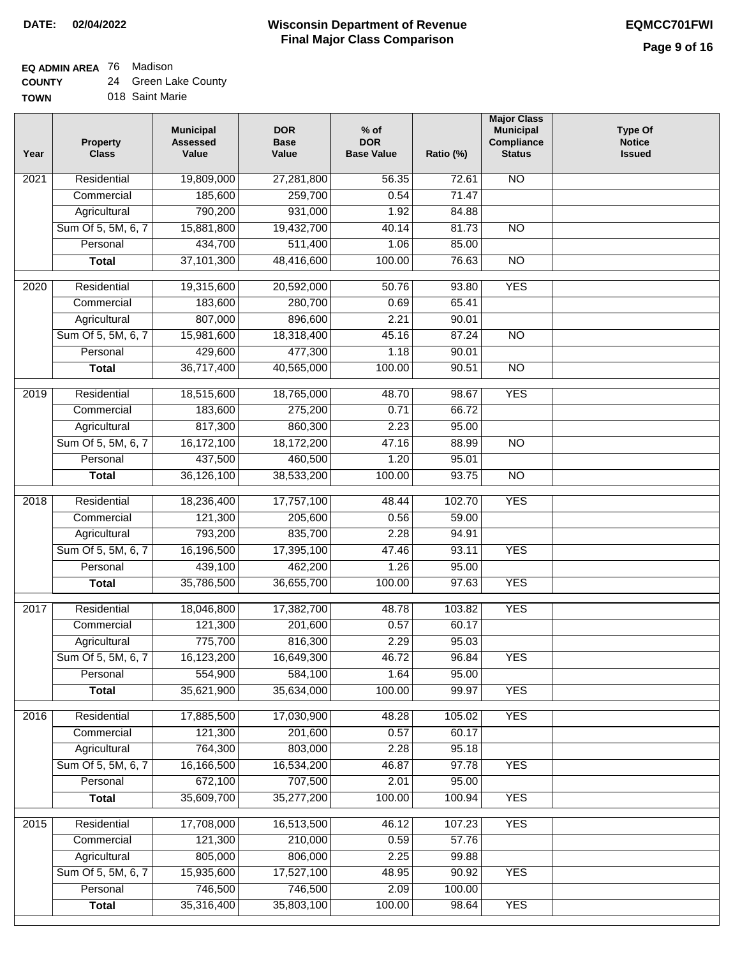**EQ ADMIN AREA** 76 Madison

**COUNTY** 24 Green Lake County

| ------      |                 |  |
|-------------|-----------------|--|
| <b>TOWN</b> | 018 Saint Marie |  |

| Year | <b>Property</b><br><b>Class</b> | <b>Municipal</b><br><b>Assessed</b><br>Value | <b>DOR</b><br><b>Base</b><br>Value | $%$ of<br><b>DOR</b><br><b>Base Value</b> | Ratio (%) | <b>Major Class</b><br><b>Municipal</b><br>Compliance<br><b>Status</b> | <b>Type Of</b><br><b>Notice</b><br><b>Issued</b> |
|------|---------------------------------|----------------------------------------------|------------------------------------|-------------------------------------------|-----------|-----------------------------------------------------------------------|--------------------------------------------------|
| 2021 | Residential                     | 19,809,000                                   | 27,281,800                         | 56.35                                     | 72.61     | <b>NO</b>                                                             |                                                  |
|      | Commercial                      | 185,600                                      | 259,700                            | 0.54                                      | 71.47     |                                                                       |                                                  |
|      | Agricultural                    | 790,200                                      | 931,000                            | 1.92                                      | 84.88     |                                                                       |                                                  |
|      | Sum Of 5, 5M, 6, 7              | 15,881,800                                   | 19,432,700                         | 40.14                                     | 81.73     | $\overline{NO}$                                                       |                                                  |
|      | Personal                        | 434,700                                      | 511,400                            | 1.06                                      | 85.00     |                                                                       |                                                  |
|      | <b>Total</b>                    | 37,101,300                                   | 48,416,600                         | 100.00                                    | 76.63     | $\overline{NO}$                                                       |                                                  |
| 2020 | Residential                     | 19,315,600                                   | 20,592,000                         | 50.76                                     | 93.80     | <b>YES</b>                                                            |                                                  |
|      | Commercial                      | 183,600                                      | 280,700                            | 0.69                                      | 65.41     |                                                                       |                                                  |
|      | Agricultural                    | 807,000                                      | 896,600                            | 2.21                                      | 90.01     |                                                                       |                                                  |
|      | Sum Of 5, 5M, 6, 7              | 15,981,600                                   | 18,318,400                         | 45.16                                     | 87.24     | <b>NO</b>                                                             |                                                  |
|      | Personal                        | 429,600                                      | 477,300                            | 1.18                                      | 90.01     |                                                                       |                                                  |
|      | <b>Total</b>                    | 36,717,400                                   | 40,565,000                         | 100.00                                    | 90.51     | <b>NO</b>                                                             |                                                  |
|      |                                 |                                              |                                    |                                           |           |                                                                       |                                                  |
| 2019 | Residential                     | 18,515,600                                   | 18,765,000                         | 48.70                                     | 98.67     | <b>YES</b>                                                            |                                                  |
|      | Commercial                      | 183,600                                      | 275,200                            | 0.71                                      | 66.72     |                                                                       |                                                  |
|      | Agricultural                    | 817,300                                      | 860,300                            | 2.23                                      | 95.00     |                                                                       |                                                  |
|      | Sum Of 5, 5M, 6, 7              | 16,172,100                                   | 18,172,200                         | 47.16                                     | 88.99     | $\overline{NO}$                                                       |                                                  |
|      | Personal                        | 437,500                                      | 460,500                            | 1.20                                      | 95.01     |                                                                       |                                                  |
|      | <b>Total</b>                    | 36,126,100                                   | 38,533,200                         | 100.00                                    | 93.75     | $\overline{NO}$                                                       |                                                  |
| 2018 | Residential                     | 18,236,400                                   | 17,757,100                         | 48.44                                     | 102.70    | <b>YES</b>                                                            |                                                  |
|      | Commercial                      | 121,300                                      | 205,600                            | 0.56                                      | 59.00     |                                                                       |                                                  |
|      | Agricultural                    | 793,200                                      | 835,700                            | 2.28                                      | 94.91     |                                                                       |                                                  |
|      | Sum Of 5, 5M, 6, 7              | 16,196,500                                   | 17,395,100                         | 47.46                                     | 93.11     | <b>YES</b>                                                            |                                                  |
|      | Personal                        | 439,100                                      | 462,200                            | 1.26                                      | 95.00     |                                                                       |                                                  |
|      | <b>Total</b>                    | 35,786,500                                   | 36,655,700                         | 100.00                                    | 97.63     | <b>YES</b>                                                            |                                                  |
| 2017 | Residential                     | 18,046,800                                   | 17,382,700                         | 48.78                                     | 103.82    | <b>YES</b>                                                            |                                                  |
|      | Commercial                      | 121,300                                      | 201,600                            | 0.57                                      | 60.17     |                                                                       |                                                  |
|      | Agricultural                    | 775,700                                      | 816,300                            | 2.29                                      | 95.03     |                                                                       |                                                  |
|      | Sum Of 5, 5M, 6, 7              | 16,123,200                                   | 16,649,300                         | 46.72                                     | 96.84     | <b>YES</b>                                                            |                                                  |
|      | Personal                        | 554,900                                      | 584,100                            | 1.64                                      | 95.00     |                                                                       |                                                  |
|      | <b>Total</b>                    | 35,621,900                                   | 35,634,000                         | 100.00                                    | 99.97     | <b>YES</b>                                                            |                                                  |
| 2016 | Residential                     | 17,885,500                                   | 17,030,900                         | 48.28                                     | 105.02    | <b>YES</b>                                                            |                                                  |
|      | Commercial                      | 121,300                                      | 201,600                            | 0.57                                      | 60.17     |                                                                       |                                                  |
|      | Agricultural                    | 764,300                                      | 803,000                            | 2.28                                      | 95.18     |                                                                       |                                                  |
|      | Sum Of 5, 5M, 6, 7              | 16,166,500                                   | 16,534,200                         | 46.87                                     | 97.78     | <b>YES</b>                                                            |                                                  |
|      | Personal                        | 672,100                                      | 707,500                            | 2.01                                      | 95.00     |                                                                       |                                                  |
|      | <b>Total</b>                    | 35,609,700                                   | 35,277,200                         | 100.00                                    | 100.94    | <b>YES</b>                                                            |                                                  |
| 2015 | Residential                     | 17,708,000                                   | 16,513,500                         | 46.12                                     | 107.23    | <b>YES</b>                                                            |                                                  |
|      | Commercial                      | 121,300                                      | 210,000                            | 0.59                                      | 57.76     |                                                                       |                                                  |
|      | Agricultural                    | 805,000                                      | 806,000                            | 2.25                                      | 99.88     |                                                                       |                                                  |
|      | Sum Of 5, 5M, 6, 7              | 15,935,600                                   | 17,527,100                         | 48.95                                     | 90.92     | <b>YES</b>                                                            |                                                  |
|      | Personal                        | 746,500                                      | 746,500                            | 2.09                                      | 100.00    |                                                                       |                                                  |
|      | <b>Total</b>                    | 35,316,400                                   | 35,803,100                         | 100.00                                    | 98.64     | <b>YES</b>                                                            |                                                  |
|      |                                 |                                              |                                    |                                           |           |                                                                       |                                                  |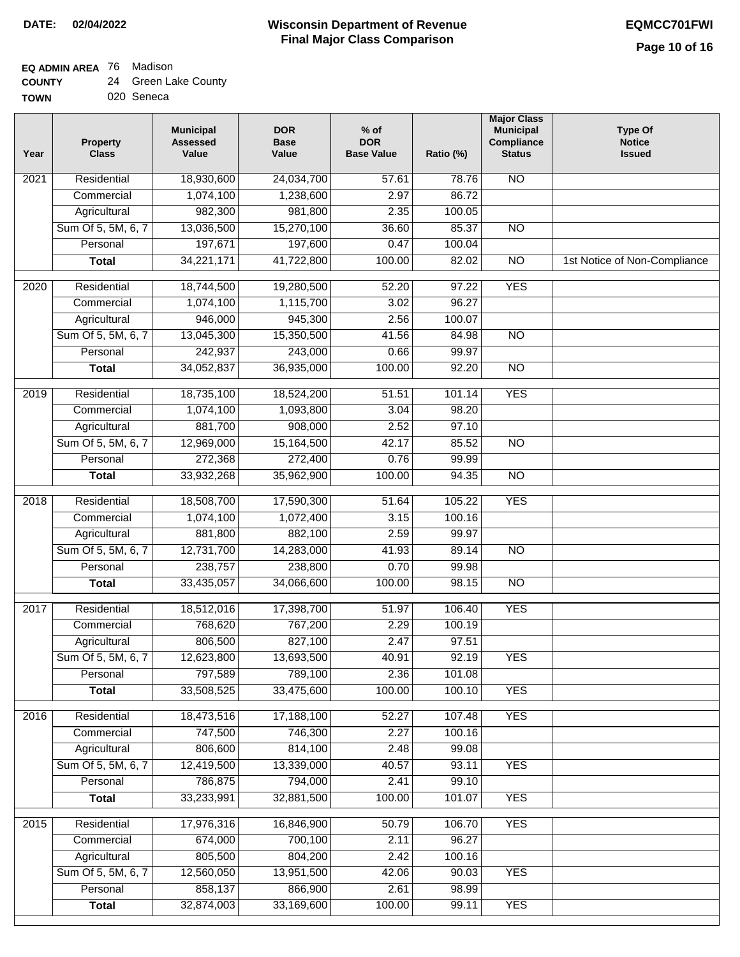# **EQ ADMIN AREA** 76 Madison

| <b>COUNTY</b> |  | 24 Green Lake County |
|---------------|--|----------------------|
|---------------|--|----------------------|

**TOWN** 020 Seneca

| Year              | <b>Property</b><br><b>Class</b> | <b>Municipal</b><br><b>Assessed</b><br>Value | <b>DOR</b><br><b>Base</b><br>Value | $%$ of<br><b>DOR</b><br><b>Base Value</b> | Ratio (%) | <b>Major Class</b><br><b>Municipal</b><br>Compliance<br><b>Status</b> | <b>Type Of</b><br><b>Notice</b><br><b>Issued</b> |
|-------------------|---------------------------------|----------------------------------------------|------------------------------------|-------------------------------------------|-----------|-----------------------------------------------------------------------|--------------------------------------------------|
| 2021              | Residential                     | 18,930,600                                   | 24,034,700                         | 57.61                                     | 78.76     | N <sub>O</sub>                                                        |                                                  |
|                   | Commercial                      | 1,074,100                                    | 1,238,600                          | 2.97                                      | 86.72     |                                                                       |                                                  |
|                   | Agricultural                    | 982,300                                      | 981,800                            | 2.35                                      | 100.05    |                                                                       |                                                  |
|                   | Sum Of 5, 5M, 6, 7              | 13,036,500                                   | 15,270,100                         | 36.60                                     | 85.37     | $\overline{NO}$                                                       |                                                  |
|                   | Personal                        | 197,671                                      | 197,600                            | 0.47                                      | 100.04    |                                                                       |                                                  |
|                   | <b>Total</b>                    | 34,221,171                                   | 41,722,800                         | 100.00                                    | 82.02     | $\overline{NO}$                                                       | 1st Notice of Non-Compliance                     |
| 2020              | Residential                     | 18,744,500                                   | 19,280,500                         | 52.20                                     | 97.22     | <b>YES</b>                                                            |                                                  |
|                   | Commercial                      | 1,074,100                                    | 1,115,700                          | 3.02                                      | 96.27     |                                                                       |                                                  |
|                   | Agricultural                    | 946,000                                      | 945,300                            | 2.56                                      | 100.07    |                                                                       |                                                  |
|                   | Sum Of 5, 5M, 6, 7              | 13,045,300                                   | 15,350,500                         | 41.56                                     | 84.98     | $\overline{NO}$                                                       |                                                  |
|                   | Personal                        | 242,937                                      | 243,000                            | 0.66                                      | 99.97     |                                                                       |                                                  |
|                   | <b>Total</b>                    | 34,052,837                                   | 36,935,000                         | 100.00                                    | 92.20     | $\overline{NO}$                                                       |                                                  |
|                   |                                 |                                              |                                    |                                           |           |                                                                       |                                                  |
| 2019              | Residential                     | 18,735,100                                   | 18,524,200                         | 51.51                                     | 101.14    | <b>YES</b>                                                            |                                                  |
|                   | Commercial                      | 1,074,100                                    | 1,093,800                          | 3.04                                      | 98.20     |                                                                       |                                                  |
|                   | Agricultural                    | 881,700                                      | 908,000                            | 2.52                                      | 97.10     |                                                                       |                                                  |
|                   | Sum Of 5, 5M, 6, 7              | 12,969,000                                   | 15,164,500                         | 42.17                                     | 85.52     | $\overline{NO}$                                                       |                                                  |
|                   | Personal                        | 272,368                                      | 272,400                            | 0.76                                      | 99.99     |                                                                       |                                                  |
|                   | <b>Total</b>                    | 33,932,268                                   | 35,962,900                         | 100.00                                    | 94.35     | $\overline{NO}$                                                       |                                                  |
| $\overline{2018}$ | Residential                     | 18,508,700                                   | 17,590,300                         | 51.64                                     | 105.22    | <b>YES</b>                                                            |                                                  |
|                   | Commercial                      | 1,074,100                                    | 1,072,400                          | 3.15                                      | 100.16    |                                                                       |                                                  |
|                   | Agricultural                    | 881,800                                      | 882,100                            | 2.59                                      | 99.97     |                                                                       |                                                  |
|                   | Sum Of 5, 5M, 6, 7              | 12,731,700                                   | 14,283,000                         | 41.93                                     | 89.14     | $\overline{10}$                                                       |                                                  |
|                   | Personal                        | 238,757                                      | 238,800                            | 0.70                                      | 99.98     |                                                                       |                                                  |
|                   | <b>Total</b>                    | 33,435,057                                   | 34,066,600                         | 100.00                                    | 98.15     | <b>NO</b>                                                             |                                                  |
| 2017              | Residential                     | 18,512,016                                   | 17,398,700                         | 51.97                                     | 106.40    | <b>YES</b>                                                            |                                                  |
|                   | Commercial                      | 768,620                                      | 767,200                            | 2.29                                      | 100.19    |                                                                       |                                                  |
|                   | Agricultural                    | 806,500                                      | 827,100                            | 2.47                                      | 97.51     |                                                                       |                                                  |
|                   | Sum Of 5, 5M, 6, 7              | 12,623,800                                   | 13,693,500                         | 40.91                                     | 92.19     | <b>YES</b>                                                            |                                                  |
|                   | Personal                        | 797,589                                      | 789,100                            | 2.36                                      | 101.08    |                                                                       |                                                  |
|                   | <b>Total</b>                    | 33,508,525                                   | 33,475,600                         | 100.00                                    | 100.10    | <b>YES</b>                                                            |                                                  |
| 2016              | Residential                     | 18,473,516                                   | 17,188,100                         | 52.27                                     | 107.48    | <b>YES</b>                                                            |                                                  |
|                   | Commercial                      | 747,500                                      | 746,300                            | 2.27                                      | 100.16    |                                                                       |                                                  |
|                   | Agricultural                    | 806,600                                      | 814,100                            | 2.48                                      | 99.08     |                                                                       |                                                  |
|                   | Sum Of 5, 5M, 6, 7              | 12,419,500                                   | 13,339,000                         | 40.57                                     | 93.11     | <b>YES</b>                                                            |                                                  |
|                   | Personal                        | 786,875                                      | 794,000                            | 2.41                                      | 99.10     |                                                                       |                                                  |
|                   | <b>Total</b>                    | 33,233,991                                   | 32,881,500                         | 100.00                                    | 101.07    | <b>YES</b>                                                            |                                                  |
|                   |                                 |                                              |                                    |                                           |           |                                                                       |                                                  |
| 2015              | Residential                     | 17,976,316                                   | 16,846,900                         | 50.79                                     | 106.70    | <b>YES</b>                                                            |                                                  |
|                   | Commercial                      | 674,000                                      | 700,100                            | 2.11                                      | 96.27     |                                                                       |                                                  |
|                   | Agricultural                    | 805,500                                      | 804,200                            | 2.42                                      | 100.16    |                                                                       |                                                  |
|                   | Sum Of 5, 5M, 6, 7              | 12,560,050                                   | 13,951,500                         | 42.06                                     | 90.03     | <b>YES</b>                                                            |                                                  |
|                   | Personal                        | 858,137                                      | 866,900                            | 2.61                                      | 98.99     |                                                                       |                                                  |
|                   | <b>Total</b>                    | 32,874,003                                   | 33,169,600                         | 100.00                                    | 99.11     | <b>YES</b>                                                            |                                                  |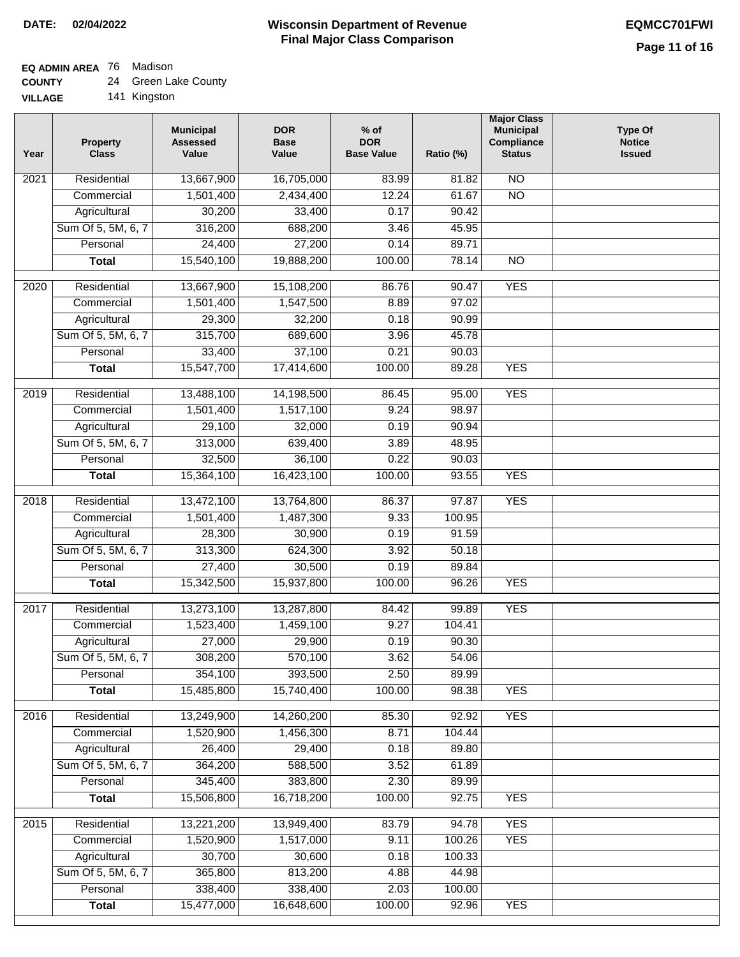٦

# **EQ ADMIN AREA** 76 Madison

| <b>COUNTY</b> |  | 24 Green Lake County |
|---------------|--|----------------------|
|---------------|--|----------------------|

| <b>VILLAGE</b> |  | 141 Kingston |
|----------------|--|--------------|
|----------------|--|--------------|

| Year | <b>Property</b><br><b>Class</b>    | <b>Municipal</b><br><b>Assessed</b><br>Value | <b>DOR</b><br><b>Base</b><br>Value | $%$ of<br><b>DOR</b><br><b>Base Value</b> | Ratio (%)       | <b>Major Class</b><br><b>Municipal</b><br>Compliance<br><b>Status</b> | <b>Type Of</b><br><b>Notice</b><br><b>Issued</b> |
|------|------------------------------------|----------------------------------------------|------------------------------------|-------------------------------------------|-----------------|-----------------------------------------------------------------------|--------------------------------------------------|
| 2021 | Residential                        | 13,667,900                                   | 16,705,000                         | 83.99                                     | 81.82           | $\overline{NO}$                                                       |                                                  |
|      | Commercial                         | 1,501,400                                    | 2,434,400                          | 12.24                                     | 61.67           | $\overline{NO}$                                                       |                                                  |
|      | Agricultural                       | 30,200                                       | 33,400                             | 0.17                                      | 90.42           |                                                                       |                                                  |
|      | Sum Of 5, 5M, 6, 7                 | 316,200                                      | 688,200                            | 3.46                                      | 45.95           |                                                                       |                                                  |
|      | Personal                           | 24,400                                       | 27,200                             | 0.14                                      | 89.71           |                                                                       |                                                  |
|      | <b>Total</b>                       | 15,540,100                                   | 19,888,200                         | 100.00                                    | 78.14           | $\overline{NO}$                                                       |                                                  |
| 2020 | Residential                        | 13,667,900                                   | 15,108,200                         | 86.76                                     | 90.47           | <b>YES</b>                                                            |                                                  |
|      | Commercial                         | 1,501,400                                    | 1,547,500                          | 8.89                                      | 97.02           |                                                                       |                                                  |
|      | Agricultural                       | 29,300                                       | 32,200                             | 0.18                                      | 90.99           |                                                                       |                                                  |
|      | Sum Of 5, 5M, 6, 7                 | 315,700                                      | 689,600                            | 3.96                                      | 45.78           |                                                                       |                                                  |
|      | Personal                           | 33,400                                       | 37,100                             | 0.21                                      | 90.03           |                                                                       |                                                  |
|      | <b>Total</b>                       | 15,547,700                                   | 17,414,600                         | 100.00                                    | 89.28           | <b>YES</b>                                                            |                                                  |
| 2019 | Residential                        | 13,488,100                                   | 14,198,500                         | 86.45                                     | 95.00           | <b>YES</b>                                                            |                                                  |
|      | Commercial                         | 1,501,400                                    | 1,517,100                          | 9.24                                      | 98.97           |                                                                       |                                                  |
|      | Agricultural                       | 29,100                                       | 32,000                             | 0.19                                      | 90.94           |                                                                       |                                                  |
|      | Sum Of 5, 5M, 6, 7                 | 313,000                                      | 639,400                            | 3.89                                      | 48.95           |                                                                       |                                                  |
|      | Personal                           | 32,500                                       | 36,100                             | 0.22                                      | 90.03           |                                                                       |                                                  |
|      | <b>Total</b>                       | 15,364,100                                   | 16,423,100                         | 100.00                                    | 93.55           | <b>YES</b>                                                            |                                                  |
|      |                                    |                                              |                                    |                                           |                 |                                                                       |                                                  |
| 2018 | Residential                        | 13,472,100                                   | 13,764,800                         | 86.37                                     | 97.87           | <b>YES</b>                                                            |                                                  |
|      | Commercial                         | 1,501,400                                    | 1,487,300                          | 9.33<br>0.19                              | 100.95<br>91.59 |                                                                       |                                                  |
|      | Agricultural<br>Sum Of 5, 5M, 6, 7 | 28,300<br>313,300                            | 30,900<br>624,300                  | 3.92                                      |                 |                                                                       |                                                  |
|      | Personal                           | 27,400                                       | 30,500                             | 0.19                                      | 50.18<br>89.84  |                                                                       |                                                  |
|      | <b>Total</b>                       | 15,342,500                                   | 15,937,800                         | 100.00                                    | 96.26           | <b>YES</b>                                                            |                                                  |
|      |                                    |                                              |                                    |                                           |                 |                                                                       |                                                  |
| 2017 | Residential                        | 13,273,100                                   | 13,287,800                         | 84.42                                     | 99.89           | <b>YES</b>                                                            |                                                  |
|      | Commercial                         | 1,523,400                                    | 1,459,100                          | 9.27                                      | 104.41          |                                                                       |                                                  |
|      | Agricultural                       | 27,000                                       | 29,900                             | 0.19                                      | 90.30           |                                                                       |                                                  |
|      | Sum Of 5, 5M, 6, 7                 | 308,200                                      | 570,100                            | 3.62                                      | 54.06           |                                                                       |                                                  |
|      | Personal                           | 354,100                                      | 393,500                            | 2.50                                      | 89.99           |                                                                       |                                                  |
|      | <b>Total</b>                       | 15,485,800                                   | 15,740,400                         | 100.00                                    | 98.38           | <b>YES</b>                                                            |                                                  |
| 2016 | Residential                        | 13,249,900                                   | 14,260,200                         | 85.30                                     | 92.92           | <b>YES</b>                                                            |                                                  |
|      | Commercial                         | 1,520,900                                    | 1,456,300                          | 8.71                                      | 104.44          |                                                                       |                                                  |
|      | Agricultural                       | 26,400                                       | 29,400                             | 0.18                                      | 89.80           |                                                                       |                                                  |
|      | Sum Of 5, 5M, 6, 7                 | 364,200                                      | 588,500                            | 3.52                                      | 61.89           |                                                                       |                                                  |
|      | Personal                           | 345,400                                      | 383,800                            | 2.30                                      | 89.99           |                                                                       |                                                  |
|      | <b>Total</b>                       | 15,506,800                                   | 16,718,200                         | 100.00                                    | 92.75           | <b>YES</b>                                                            |                                                  |
| 2015 | Residential                        | 13,221,200                                   | 13,949,400                         | 83.79                                     | 94.78           | <b>YES</b>                                                            |                                                  |
|      | Commercial                         | 1,520,900                                    | 1,517,000                          | 9.11                                      | 100.26          | <b>YES</b>                                                            |                                                  |
|      | Agricultural                       | 30,700                                       | 30,600                             | 0.18                                      | 100.33          |                                                                       |                                                  |
|      | Sum Of 5, 5M, 6, 7                 | 365,800                                      | 813,200                            | 4.88                                      | 44.98           |                                                                       |                                                  |
|      | Personal                           | 338,400                                      | 338,400                            | 2.03                                      | 100.00          |                                                                       |                                                  |
|      | <b>Total</b>                       | 15,477,000                                   | 16,648,600                         | 100.00                                    | 92.96           | <b>YES</b>                                                            |                                                  |
|      |                                    |                                              |                                    |                                           |                 |                                                                       |                                                  |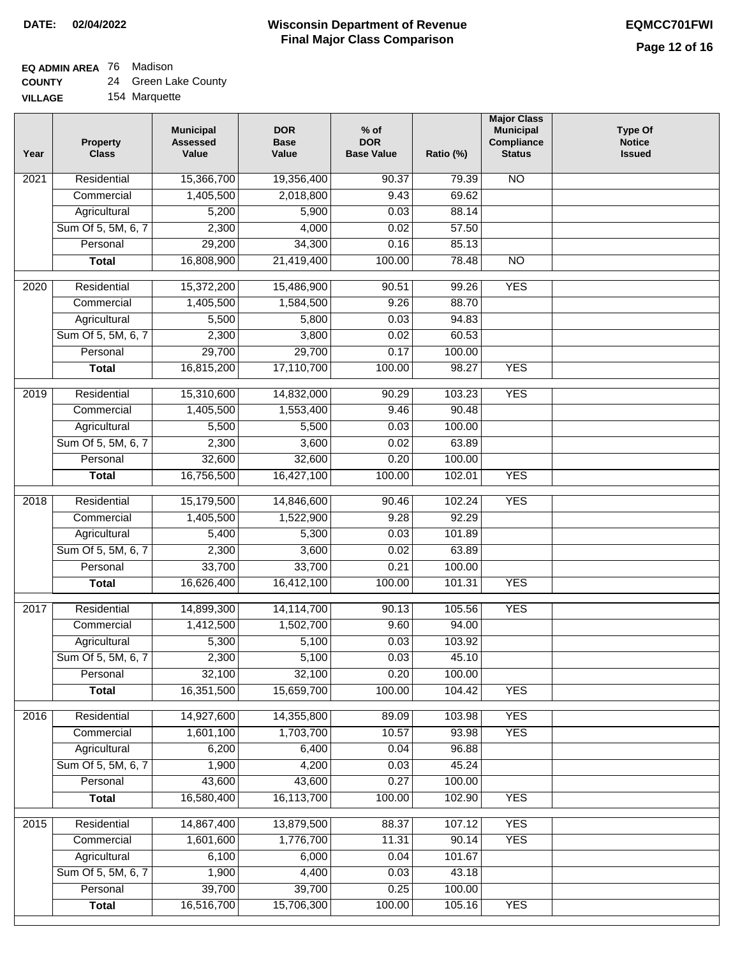$\Box$ 

#### **Wisconsin Department of Revenue Final Major Class Comparison DATE: 02/04/2022 EQMCC701FWI**

# **EQ ADMIN AREA** 76 Madison

| <b>COUNTY</b> |  | 24 Green Lake County |
|---------------|--|----------------------|
|---------------|--|----------------------|

| <b>VILLAGE</b> |  | 154 Marquette |
|----------------|--|---------------|
|----------------|--|---------------|

| Year | <b>Property</b><br><b>Class</b> | <b>Municipal</b><br><b>Assessed</b><br>Value | <b>DOR</b><br><b>Base</b><br>Value | $%$ of<br><b>DOR</b><br><b>Base Value</b> | Ratio (%)       | <b>Major Class</b><br><b>Municipal</b><br>Compliance<br><b>Status</b> | <b>Type Of</b><br><b>Notice</b><br><b>Issued</b> |
|------|---------------------------------|----------------------------------------------|------------------------------------|-------------------------------------------|-----------------|-----------------------------------------------------------------------|--------------------------------------------------|
| 2021 | Residential                     | 15,366,700                                   | 19,356,400                         | 90.37                                     | 79.39           | $\overline{NO}$                                                       |                                                  |
|      | Commercial                      | 1,405,500                                    | 2,018,800                          | 9.43                                      | 69.62           |                                                                       |                                                  |
|      | Agricultural                    | 5,200                                        | 5,900                              | 0.03                                      | 88.14           |                                                                       |                                                  |
|      | Sum Of 5, 5M, 6, 7              | 2,300                                        | 4,000                              | 0.02                                      | 57.50           |                                                                       |                                                  |
|      | Personal                        | 29,200                                       | 34,300                             | 0.16                                      | 85.13           |                                                                       |                                                  |
|      | <b>Total</b>                    | 16,808,900                                   | 21,419,400                         | 100.00                                    | 78.48           | $\overline{NO}$                                                       |                                                  |
| 2020 | Residential                     | 15,372,200                                   | 15,486,900                         | 90.51                                     | 99.26           | <b>YES</b>                                                            |                                                  |
|      | Commercial                      | 1,405,500                                    | 1,584,500                          | 9.26                                      | 88.70           |                                                                       |                                                  |
|      | Agricultural                    | 5,500                                        | 5,800                              | 0.03                                      | 94.83           |                                                                       |                                                  |
|      | Sum Of 5, 5M, 6, 7              | 2,300                                        | 3,800                              | 0.02                                      | 60.53           |                                                                       |                                                  |
|      | Personal                        | 29,700                                       | 29,700                             | 0.17                                      | 100.00          |                                                                       |                                                  |
|      | <b>Total</b>                    | 16,815,200                                   | 17,110,700                         | 100.00                                    | 98.27           | <b>YES</b>                                                            |                                                  |
|      |                                 |                                              |                                    |                                           |                 |                                                                       |                                                  |
| 2019 | Residential                     | 15,310,600                                   | 14,832,000                         | 90.29                                     | 103.23          | <b>YES</b>                                                            |                                                  |
|      | Commercial                      | 1,405,500                                    | 1,553,400                          | 9.46                                      | 90.48           |                                                                       |                                                  |
|      | Agricultural                    | 5,500                                        | 5,500                              | 0.03                                      | 100.00          |                                                                       |                                                  |
|      | Sum Of 5, 5M, 6, 7              | 2,300                                        | 3,600                              | 0.02                                      | 63.89           |                                                                       |                                                  |
|      | Personal                        | 32,600                                       | 32,600                             | 0.20                                      | 100.00          |                                                                       |                                                  |
|      | <b>Total</b>                    | 16,756,500                                   | 16,427,100                         | 100.00                                    | 102.01          | <b>YES</b>                                                            |                                                  |
| 2018 | Residential                     | 15,179,500                                   | 14,846,600                         | 90.46                                     | 102.24          | <b>YES</b>                                                            |                                                  |
|      | Commercial                      | 1,405,500                                    | 1,522,900                          | 9.28                                      | 92.29           |                                                                       |                                                  |
|      | Agricultural                    | 5,400                                        | 5,300                              | 0.03                                      | 101.89          |                                                                       |                                                  |
|      | Sum Of 5, 5M, 6, 7              | 2,300                                        | 3,600                              | 0.02                                      | 63.89           |                                                                       |                                                  |
|      | Personal                        | 33,700                                       | 33,700                             | 0.21                                      | 100.00          |                                                                       |                                                  |
|      | Total                           | 16,626,400                                   | 16,412,100                         | 100.00                                    | 101.31          | <b>YES</b>                                                            |                                                  |
| 2017 | Residential                     | 14,899,300                                   | 14,114,700                         | 90.13                                     | 105.56          | <b>YES</b>                                                            |                                                  |
|      | Commercial                      | 1,412,500                                    | 1,502,700                          | 9.60                                      | 94.00           |                                                                       |                                                  |
|      | Agricultural                    | 5,300                                        | 5,100                              | 0.03                                      | 103.92          |                                                                       |                                                  |
|      | Sum Of 5, 5M, 6, 7              | 2,300                                        | 5,100                              | 0.03                                      | 45.10           |                                                                       |                                                  |
|      | Personal                        | 32,100                                       | 32,100                             | 0.20                                      | 100.00          |                                                                       |                                                  |
|      | <b>Total</b>                    | 16,351,500                                   | 15,659,700                         | 100.00                                    | 104.42          | <b>YES</b>                                                            |                                                  |
| 2016 | Residential                     | 14,927,600                                   | 14,355,800                         | 89.09                                     | 103.98          | <b>YES</b>                                                            |                                                  |
|      | Commercial                      | 1,601,100                                    | 1,703,700                          | 10.57                                     | 93.98           | <b>YES</b>                                                            |                                                  |
|      | Agricultural                    | 6,200                                        | 6,400                              | 0.04                                      | 96.88           |                                                                       |                                                  |
|      | Sum Of 5, 5M, 6, 7              | 1,900                                        | 4,200                              | 0.03                                      | 45.24           |                                                                       |                                                  |
|      | Personal                        | 43,600                                       | 43,600                             | 0.27                                      | 100.00          |                                                                       |                                                  |
|      | <b>Total</b>                    | 16,580,400                                   | 16,113,700                         | 100.00                                    | 102.90          | <b>YES</b>                                                            |                                                  |
|      |                                 |                                              |                                    |                                           |                 | <b>YES</b>                                                            |                                                  |
| 2015 | Residential                     | 14,867,400<br>1,601,600                      | 13,879,500<br>1,776,700            | 88.37                                     | 107.12<br>90.14 | <b>YES</b>                                                            |                                                  |
|      | Commercial                      |                                              |                                    | 11.31                                     |                 |                                                                       |                                                  |
|      | Agricultural                    | 6,100                                        | 6,000                              | 0.04                                      | 101.67          |                                                                       |                                                  |
|      | Sum Of 5, 5M, 6, 7<br>Personal  | 1,900<br>39,700                              | 4,400<br>39,700                    | 0.03<br>0.25                              | 43.18<br>100.00 |                                                                       |                                                  |
|      | <b>Total</b>                    | 16,516,700                                   | 15,706,300                         | 100.00                                    | 105.16          | <b>YES</b>                                                            |                                                  |
|      |                                 |                                              |                                    |                                           |                 |                                                                       |                                                  |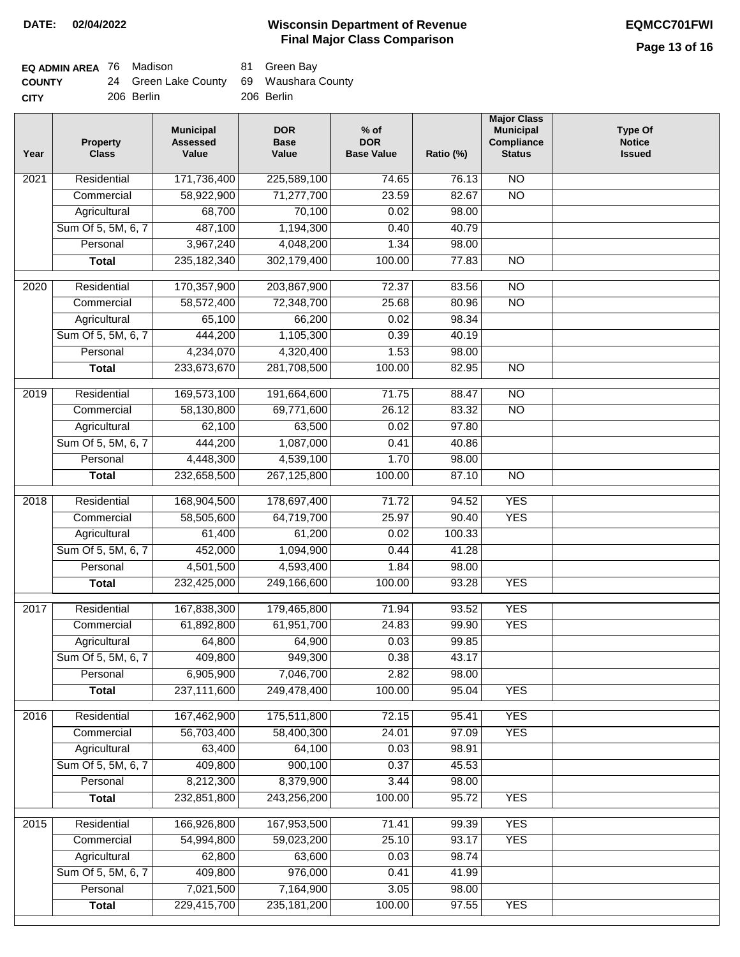| <b>EQ ADMIN AREA</b> 76 Madison |                                         | 81 Green Bay |
|---------------------------------|-----------------------------------------|--------------|
| <b>COUNTY</b>                   | 24 Green Lake County 69 Waushara County |              |
| <b>CITY</b>                     | 206 Berlin                              | 206 Berlin   |

| Year | <b>Property</b><br><b>Class</b> | <b>Municipal</b><br><b>Assessed</b><br>Value | <b>DOR</b><br><b>Base</b><br>Value | $%$ of<br><b>DOR</b><br><b>Base Value</b> | Ratio (%) | <b>Major Class</b><br><b>Municipal</b><br>Compliance<br><b>Status</b> | <b>Type Of</b><br><b>Notice</b><br><b>Issued</b> |
|------|---------------------------------|----------------------------------------------|------------------------------------|-------------------------------------------|-----------|-----------------------------------------------------------------------|--------------------------------------------------|
| 2021 | Residential                     | 171,736,400                                  | 225,589,100                        | 74.65                                     | 76.13     | $\overline{NO}$                                                       |                                                  |
|      | Commercial                      | 58,922,900                                   | 71,277,700                         | 23.59                                     | 82.67     | $\overline{NO}$                                                       |                                                  |
|      | Agricultural                    | 68,700                                       | 70,100                             | 0.02                                      | 98.00     |                                                                       |                                                  |
|      | Sum Of 5, 5M, 6, 7              | 487,100                                      | 1,194,300                          | 0.40                                      | 40.79     |                                                                       |                                                  |
|      | Personal                        | 3,967,240                                    | 4,048,200                          | 1.34                                      | 98.00     |                                                                       |                                                  |
|      | <b>Total</b>                    | 235, 182, 340                                | 302,179,400                        | 100.00                                    | 77.83     | $\overline{NO}$                                                       |                                                  |
| 2020 | Residential                     | 170,357,900                                  | 203,867,900                        | 72.37                                     | 83.56     | $\overline{NO}$                                                       |                                                  |
|      | Commercial                      | 58,572,400                                   | 72,348,700                         | 25.68                                     | 80.96     | $\overline{NO}$                                                       |                                                  |
|      | Agricultural                    | 65,100                                       | 66,200                             | 0.02                                      | 98.34     |                                                                       |                                                  |
|      | Sum Of 5, 5M, 6, 7              | 444,200                                      | 1,105,300                          | 0.39                                      | 40.19     |                                                                       |                                                  |
|      | Personal                        | 4,234,070                                    | 4,320,400                          | 1.53                                      | 98.00     |                                                                       |                                                  |
|      | <b>Total</b>                    | 233,673,670                                  | 281,708,500                        | 100.00                                    | 82.95     | $\overline{NO}$                                                       |                                                  |
| 2019 | Residential                     | 169,573,100                                  | 191,664,600                        | 71.75                                     | 88.47     | $\overline{NO}$                                                       |                                                  |
|      | Commercial                      | 58,130,800                                   | 69,771,600                         | 26.12                                     | 83.32     | $\overline{NO}$                                                       |                                                  |
|      | Agricultural                    | 62,100                                       | 63,500                             | 0.02                                      | 97.80     |                                                                       |                                                  |
|      | Sum Of 5, 5M, 6, 7              | 444,200                                      | 1,087,000                          | 0.41                                      | 40.86     |                                                                       |                                                  |
|      | Personal                        | 4,448,300                                    | 4,539,100                          | 1.70                                      | 98.00     |                                                                       |                                                  |
|      | <b>Total</b>                    | 232,658,500                                  | 267,125,800                        | 100.00                                    | 87.10     | $\overline{NO}$                                                       |                                                  |
|      |                                 |                                              |                                    |                                           |           |                                                                       |                                                  |
| 2018 | Residential                     | 168,904,500                                  | 178,697,400                        | 71.72                                     | 94.52     | <b>YES</b>                                                            |                                                  |
|      | Commercial                      | 58,505,600                                   | 64,719,700                         | 25.97                                     | 90.40     | <b>YES</b>                                                            |                                                  |
|      | Agricultural                    | 61,400                                       | 61,200                             | 0.02                                      | 100.33    |                                                                       |                                                  |
|      | Sum Of 5, 5M, 6, 7              | 452,000                                      | 1,094,900                          | 0.44                                      | 41.28     |                                                                       |                                                  |
|      | Personal                        | 4,501,500                                    | 4,593,400                          | 1.84                                      | 98.00     |                                                                       |                                                  |
|      | <b>Total</b>                    | 232,425,000                                  | 249,166,600                        | 100.00                                    | 93.28     | <b>YES</b>                                                            |                                                  |
| 2017 | Residential                     | 167,838,300                                  | 179,465,800                        | 71.94                                     | 93.52     | <b>YES</b>                                                            |                                                  |
|      | Commercial                      | 61,892,800                                   | 61,951,700                         | 24.83                                     | 99.90     | <b>YES</b>                                                            |                                                  |
|      | Agricultural                    | 64,800                                       | 64,900                             | 0.03                                      | 99.85     |                                                                       |                                                  |
|      | Sum Of 5, 5M, 6, 7              | 409,800                                      | 949,300                            | 0.38                                      | 43.17     |                                                                       |                                                  |
|      | Personal                        | 6,905,900                                    | 7,046,700                          | 2.82                                      | 98.00     |                                                                       |                                                  |
|      | <b>Total</b>                    | 237,111,600                                  | 249,478,400                        | 100.00                                    | 95.04     | <b>YES</b>                                                            |                                                  |
| 2016 | Residential                     | 167,462,900                                  | 175,511,800                        | 72.15                                     | 95.41     | <b>YES</b>                                                            |                                                  |
|      | Commercial                      | 56,703,400                                   | 58,400,300                         | 24.01                                     | 97.09     | <b>YES</b>                                                            |                                                  |
|      | Agricultural                    | 63,400                                       | 64,100                             | 0.03                                      | 98.91     |                                                                       |                                                  |
|      | Sum Of 5, 5M, 6, 7              | 409,800                                      | 900,100                            | 0.37                                      | 45.53     |                                                                       |                                                  |
|      | Personal                        | 8,212,300                                    | 8,379,900                          | 3.44                                      | 98.00     |                                                                       |                                                  |
|      | <b>Total</b>                    | 232,851,800                                  | 243,256,200                        | 100.00                                    | 95.72     | <b>YES</b>                                                            |                                                  |
| 2015 | Residential                     | 166,926,800                                  | 167,953,500                        | 71.41                                     | 99.39     | <b>YES</b>                                                            |                                                  |
|      | Commercial                      | 54,994,800                                   | 59,023,200                         | 25.10                                     | 93.17     | <b>YES</b>                                                            |                                                  |
|      | Agricultural                    | 62,800                                       | 63,600                             | 0.03                                      | 98.74     |                                                                       |                                                  |
|      | Sum Of 5, 5M, 6, 7              | 409,800                                      | 976,000                            | 0.41                                      | 41.99     |                                                                       |                                                  |
|      | Personal                        | 7,021,500                                    | 7,164,900                          | 3.05                                      | 98.00     |                                                                       |                                                  |
|      | <b>Total</b>                    | 229,415,700                                  | 235, 181, 200                      | 100.00                                    | 97.55     | <b>YES</b>                                                            |                                                  |
|      |                                 |                                              |                                    |                                           |           |                                                                       |                                                  |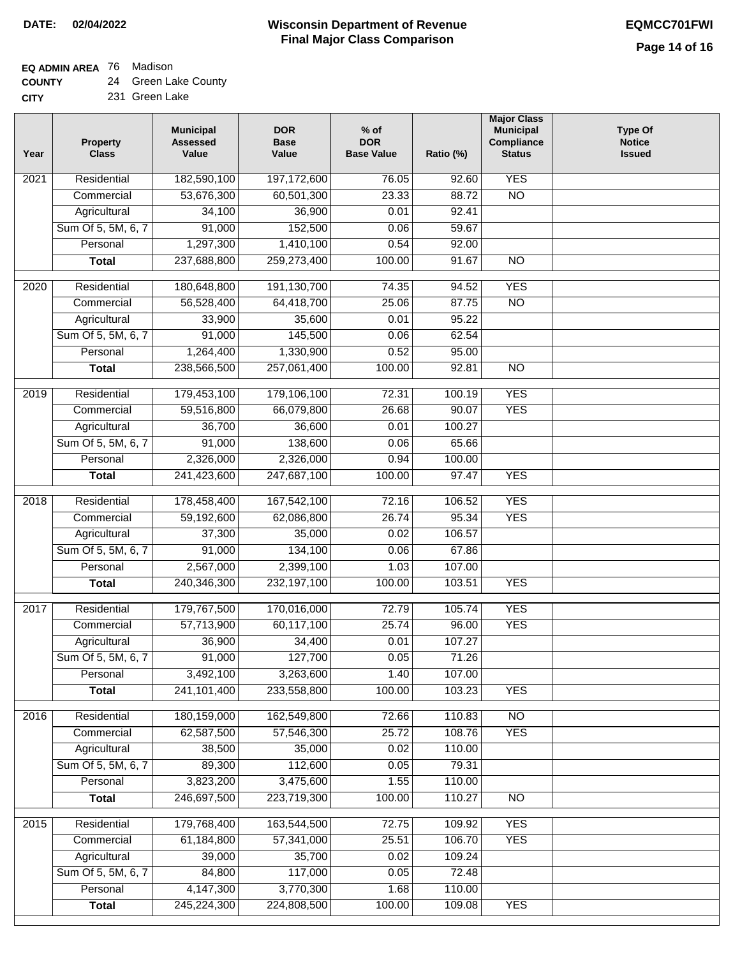**EQ ADMIN AREA** 76 Madison

**COUNTY** 24 Green Lake County

| Year | <b>Property</b><br><b>Class</b> | <b>Municipal</b><br><b>Assessed</b><br>Value | <b>DOR</b><br><b>Base</b><br>Value | $%$ of<br><b>DOR</b><br><b>Base Value</b> | Ratio (%) | <b>Major Class</b><br><b>Municipal</b><br>Compliance<br><b>Status</b> | <b>Type Of</b><br><b>Notice</b><br><b>Issued</b> |
|------|---------------------------------|----------------------------------------------|------------------------------------|-------------------------------------------|-----------|-----------------------------------------------------------------------|--------------------------------------------------|
| 2021 | Residential                     | 182,590,100                                  | 197,172,600                        | 76.05                                     | 92.60     | <b>YES</b>                                                            |                                                  |
|      | Commercial                      | 53,676,300                                   | 60,501,300                         | 23.33                                     | 88.72     | $\overline{NO}$                                                       |                                                  |
|      | Agricultural                    | 34,100                                       | 36,900                             | 0.01                                      | 92.41     |                                                                       |                                                  |
|      | Sum Of 5, 5M, 6, 7              | 91,000                                       | 152,500                            | 0.06                                      | 59.67     |                                                                       |                                                  |
|      | Personal                        | 1,297,300                                    | 1,410,100                          | 0.54                                      | 92.00     |                                                                       |                                                  |
|      | <b>Total</b>                    | 237,688,800                                  | 259,273,400                        | 100.00                                    | 91.67     | $\overline{NO}$                                                       |                                                  |
| 2020 | Residential                     | 180,648,800                                  | 191,130,700                        | 74.35                                     | 94.52     | <b>YES</b>                                                            |                                                  |
|      | Commercial                      | 56,528,400                                   | 64,418,700                         | 25.06                                     | 87.75     | $\overline{NO}$                                                       |                                                  |
|      | Agricultural                    | 33,900                                       | 35,600                             | 0.01                                      | 95.22     |                                                                       |                                                  |
|      | Sum Of 5, 5M, 6, 7              | 91,000                                       | 145,500                            | 0.06                                      | 62.54     |                                                                       |                                                  |
|      | Personal                        | 1,264,400                                    | 1,330,900                          | 0.52                                      | 95.00     |                                                                       |                                                  |
|      | <b>Total</b>                    | 238,566,500                                  | 257,061,400                        | 100.00                                    | 92.81     | $\overline{NO}$                                                       |                                                  |
|      |                                 |                                              |                                    |                                           |           |                                                                       |                                                  |
| 2019 | Residential                     | 179,453,100                                  | 179,106,100                        | 72.31                                     | 100.19    | <b>YES</b>                                                            |                                                  |
|      | Commercial                      | 59,516,800                                   | 66,079,800                         | 26.68                                     | 90.07     | <b>YES</b>                                                            |                                                  |
|      | Agricultural                    | 36,700                                       | 36,600                             | 0.01                                      | 100.27    |                                                                       |                                                  |
|      | Sum Of 5, 5M, 6, 7              | 91,000                                       | 138,600                            | 0.06                                      | 65.66     |                                                                       |                                                  |
|      | Personal                        | 2,326,000                                    | 2,326,000                          | 0.94                                      | 100.00    |                                                                       |                                                  |
|      | <b>Total</b>                    | 241,423,600                                  | 247,687,100                        | 100.00                                    | 97.47     | <b>YES</b>                                                            |                                                  |
| 2018 | Residential                     | 178,458,400                                  | 167,542,100                        | 72.16                                     | 106.52    | <b>YES</b>                                                            |                                                  |
|      | Commercial                      | 59,192,600                                   | 62,086,800                         | 26.74                                     | 95.34     | <b>YES</b>                                                            |                                                  |
|      | Agricultural                    | 37,300                                       | 35,000                             | 0.02                                      | 106.57    |                                                                       |                                                  |
|      | Sum Of 5, 5M, 6, 7              | 91,000                                       | 134,100                            | 0.06                                      | 67.86     |                                                                       |                                                  |
|      | Personal                        | 2,567,000                                    | 2,399,100                          | 1.03                                      | 107.00    |                                                                       |                                                  |
|      | <b>Total</b>                    | 240,346,300                                  | 232, 197, 100                      | 100.00                                    | 103.51    | <b>YES</b>                                                            |                                                  |
| 2017 | Residential                     | 179,767,500                                  | 170,016,000                        | 72.79                                     | 105.74    | <b>YES</b>                                                            |                                                  |
|      | Commercial                      | 57,713,900                                   | 60,117,100                         | 25.74                                     | 96.00     | <b>YES</b>                                                            |                                                  |
|      | Agricultural                    | 36,900                                       | 34,400                             | 0.01                                      | 107.27    |                                                                       |                                                  |
|      | Sum Of 5, 5M, 6, 7              | 91,000                                       | 127,700                            | 0.05                                      | 71.26     |                                                                       |                                                  |
|      | Personal                        | 3,492,100                                    | 3,263,600                          | 1.40                                      | 107.00    |                                                                       |                                                  |
|      | <b>Total</b>                    | 241,101,400                                  | 233,558,800                        | 100.00                                    | 103.23    | <b>YES</b>                                                            |                                                  |
| 2016 | Residential                     | 180,159,000                                  | 162,549,800                        | 72.66                                     | 110.83    | N <sub>O</sub>                                                        |                                                  |
|      | Commercial                      | 62,587,500                                   | 57,546,300                         | 25.72                                     | 108.76    | <b>YES</b>                                                            |                                                  |
|      | Agricultural                    | 38,500                                       | 35,000                             | 0.02                                      | 110.00    |                                                                       |                                                  |
|      | Sum Of 5, 5M, 6, 7              | 89,300                                       | 112,600                            | 0.05                                      | 79.31     |                                                                       |                                                  |
|      | Personal                        | 3,823,200                                    | 3,475,600                          | 1.55                                      | 110.00    |                                                                       |                                                  |
|      | <b>Total</b>                    | 246,697,500                                  | 223,719,300                        | 100.00                                    | 110.27    | $\overline{NO}$                                                       |                                                  |
| 2015 | Residential                     | 179,768,400                                  | 163,544,500                        | 72.75                                     | 109.92    | <b>YES</b>                                                            |                                                  |
|      | Commercial                      | 61,184,800                                   | 57,341,000                         | 25.51                                     | 106.70    | <b>YES</b>                                                            |                                                  |
|      | Agricultural                    | 39,000                                       | 35,700                             | 0.02                                      | 109.24    |                                                                       |                                                  |
|      | Sum Of 5, 5M, 6, 7              | 84,800                                       | 117,000                            | 0.05                                      | 72.48     |                                                                       |                                                  |
|      | Personal                        | 4,147,300                                    | 3,770,300                          | 1.68                                      | 110.00    |                                                                       |                                                  |
|      | <b>Total</b>                    | 245,224,300                                  | 224,808,500                        | 100.00                                    | 109.08    | <b>YES</b>                                                            |                                                  |
|      |                                 |                                              |                                    |                                           |           |                                                                       |                                                  |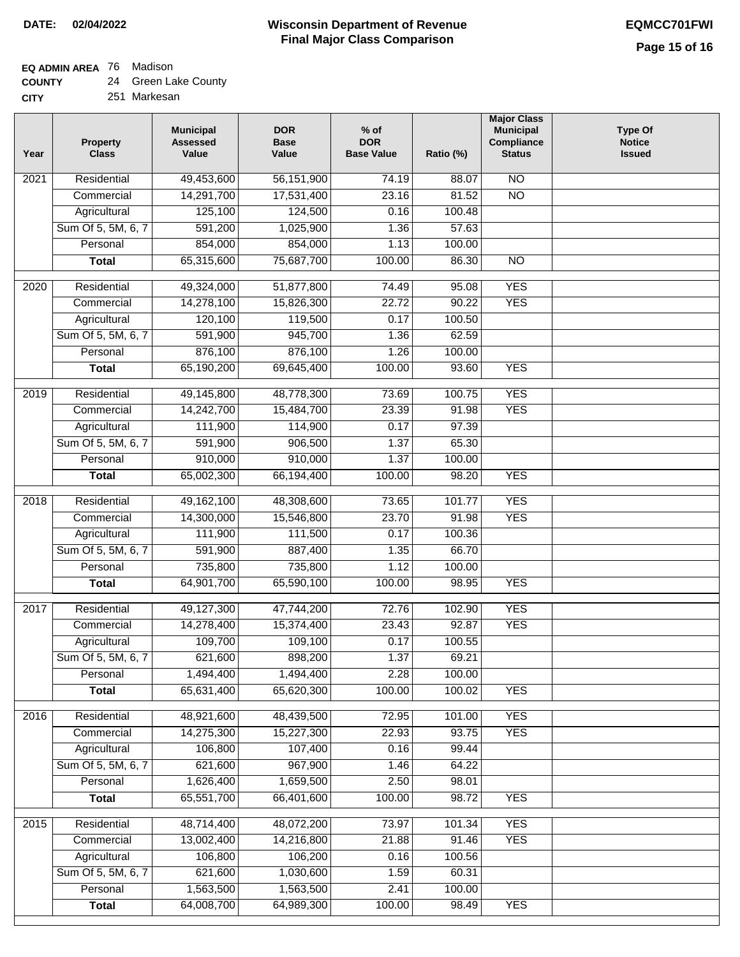# **EQ ADMIN AREA** 76 Madison

| <b>COUNTY</b> |  | 24 Green Lake County |  |  |
|---------------|--|----------------------|--|--|
|---------------|--|----------------------|--|--|

**CITY** 251 Markesan

| Year | <b>Property</b><br><b>Class</b> | <b>Municipal</b><br><b>Assessed</b><br>Value | <b>DOR</b><br><b>Base</b><br>Value | $%$ of<br><b>DOR</b><br><b>Base Value</b> | Ratio (%) | <b>Major Class</b><br><b>Municipal</b><br>Compliance<br><b>Status</b> | <b>Type Of</b><br><b>Notice</b><br><b>Issued</b> |
|------|---------------------------------|----------------------------------------------|------------------------------------|-------------------------------------------|-----------|-----------------------------------------------------------------------|--------------------------------------------------|
| 2021 | Residential                     | 49,453,600                                   | 56,151,900                         | 74.19                                     | 88.07     | $\overline{NO}$                                                       |                                                  |
|      | Commercial                      | 14,291,700                                   | 17,531,400                         | 23.16                                     | 81.52     | $\overline{NO}$                                                       |                                                  |
|      | Agricultural                    | 125,100                                      | 124,500                            | 0.16                                      | 100.48    |                                                                       |                                                  |
|      | Sum Of 5, 5M, 6, 7              | 591,200                                      | 1,025,900                          | 1.36                                      | 57.63     |                                                                       |                                                  |
|      | Personal                        | 854,000                                      | 854,000                            | 1.13                                      | 100.00    |                                                                       |                                                  |
|      | <b>Total</b>                    | 65,315,600                                   | 75,687,700                         | 100.00                                    | 86.30     | $\overline{NO}$                                                       |                                                  |
| 2020 | Residential                     | 49,324,000                                   | 51,877,800                         | 74.49                                     | 95.08     | <b>YES</b>                                                            |                                                  |
|      | Commercial                      | 14,278,100                                   | 15,826,300                         | 22.72                                     | 90.22     | <b>YES</b>                                                            |                                                  |
|      | Agricultural                    | 120,100                                      | 119,500                            | 0.17                                      | 100.50    |                                                                       |                                                  |
|      | Sum Of 5, 5M, 6, 7              | 591,900                                      | 945,700                            | 1.36                                      | 62.59     |                                                                       |                                                  |
|      | Personal                        | 876,100                                      | 876,100                            | 1.26                                      | 100.00    |                                                                       |                                                  |
|      | <b>Total</b>                    | 65,190,200                                   | 69,645,400                         | 100.00                                    | 93.60     | <b>YES</b>                                                            |                                                  |
| 2019 | Residential                     | 49,145,800                                   | 48,778,300                         | 73.69                                     | 100.75    | <b>YES</b>                                                            |                                                  |
|      | Commercial                      | 14,242,700                                   | 15,484,700                         | 23.39                                     | 91.98     | <b>YES</b>                                                            |                                                  |
|      | Agricultural                    | 111,900                                      | 114,900                            | 0.17                                      | 97.39     |                                                                       |                                                  |
|      | Sum Of 5, 5M, 6, 7              | 591,900                                      | 906,500                            | 1.37                                      | 65.30     |                                                                       |                                                  |
|      | Personal                        | 910,000                                      | 910,000                            | 1.37                                      | 100.00    |                                                                       |                                                  |
|      | <b>Total</b>                    | 65,002,300                                   | 66,194,400                         | 100.00                                    | 98.20     | <b>YES</b>                                                            |                                                  |
| 2018 | Residential                     | 49,162,100                                   | 48,308,600                         | 73.65                                     | 101.77    | <b>YES</b>                                                            |                                                  |
|      | Commercial                      | 14,300,000                                   | 15,546,800                         | 23.70                                     | 91.98     | <b>YES</b>                                                            |                                                  |
|      | Agricultural                    | 111,900                                      | 111,500                            | 0.17                                      | 100.36    |                                                                       |                                                  |
|      | Sum Of 5, 5M, 6, 7              | 591,900                                      | 887,400                            | 1.35                                      | 66.70     |                                                                       |                                                  |
|      | Personal                        | 735,800                                      | 735,800                            | 1.12                                      | 100.00    |                                                                       |                                                  |
|      | <b>Total</b>                    | 64,901,700                                   | 65,590,100                         | 100.00                                    | 98.95     | <b>YES</b>                                                            |                                                  |
| 2017 | Residential                     | 49,127,300                                   | 47,744,200                         | 72.76                                     | 102.90    | <b>YES</b>                                                            |                                                  |
|      | Commercial                      | 14,278,400                                   | 15,374,400                         | 23.43                                     | 92.87     | <b>YES</b>                                                            |                                                  |
|      | Agricultural                    | 109,700                                      | 109,100                            | 0.17                                      | 100.55    |                                                                       |                                                  |
|      | Sum Of 5, 5M, 6, 7              | 621,600                                      | 898,200                            | 1.37                                      | 69.21     |                                                                       |                                                  |
|      | Personal                        | 1,494,400                                    | 1,494,400                          | 2.28                                      | 100.00    |                                                                       |                                                  |
|      | <b>Total</b>                    | 65,631,400                                   | 65,620,300                         | 100.00                                    | 100.02    | <b>YES</b>                                                            |                                                  |
| 2016 | Residential                     | 48,921,600                                   | 48,439,500                         | 72.95                                     | 101.00    | <b>YES</b>                                                            |                                                  |
|      | Commercial                      | 14,275,300                                   | 15,227,300                         | 22.93                                     | 93.75     | <b>YES</b>                                                            |                                                  |
|      | Agricultural                    | 106,800                                      | 107,400                            | 0.16                                      | 99.44     |                                                                       |                                                  |
|      | Sum Of 5, 5M, 6, 7              | 621,600                                      | 967,900                            | 1.46                                      | 64.22     |                                                                       |                                                  |
|      | Personal                        | 1,626,400                                    | 1,659,500                          | 2.50                                      | 98.01     |                                                                       |                                                  |
|      | <b>Total</b>                    | 65,551,700                                   | 66,401,600                         | 100.00                                    | 98.72     | <b>YES</b>                                                            |                                                  |
| 2015 | Residential                     | 48,714,400                                   | 48,072,200                         | 73.97                                     | 101.34    | <b>YES</b>                                                            |                                                  |
|      | Commercial                      | 13,002,400                                   | 14,216,800                         | 21.88                                     | 91.46     | <b>YES</b>                                                            |                                                  |
|      | Agricultural                    | 106,800                                      | 106,200                            | 0.16                                      | 100.56    |                                                                       |                                                  |
|      | Sum Of 5, 5M, 6, 7              | 621,600                                      | 1,030,600                          | 1.59                                      | 60.31     |                                                                       |                                                  |
|      | Personal                        | 1,563,500                                    | 1,563,500                          | 2.41                                      | 100.00    |                                                                       |                                                  |
|      | <b>Total</b>                    | 64,008,700                                   | 64,989,300                         | 100.00                                    | 98.49     | <b>YES</b>                                                            |                                                  |